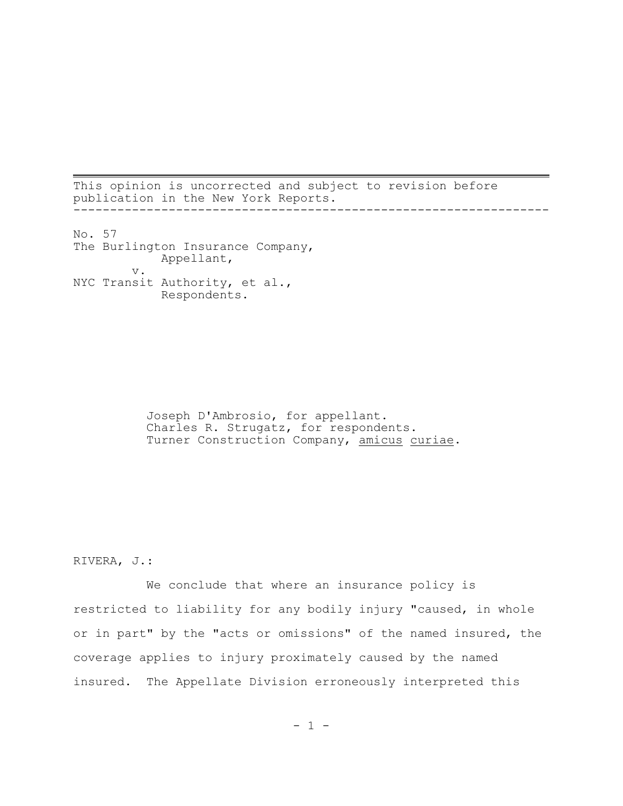This opinion is uncorrected and subject to revision before publication in the New York Reports. -----------------------------------------------------------------

No. 57 The Burlington Insurance Company, Appellant, v. NYC Transit Authority, et al., Respondents.

> Joseph D'Ambrosio, for appellant. Charles R. Strugatz, for respondents. Turner Construction Company, amicus curiae.

RIVERA, J.:

We conclude that where an insurance policy is restricted to liability for any bodily injury "caused, in whole or in part" by the "acts or omissions" of the named insured, the coverage applies to injury proximately caused by the named insured. The Appellate Division erroneously interpreted this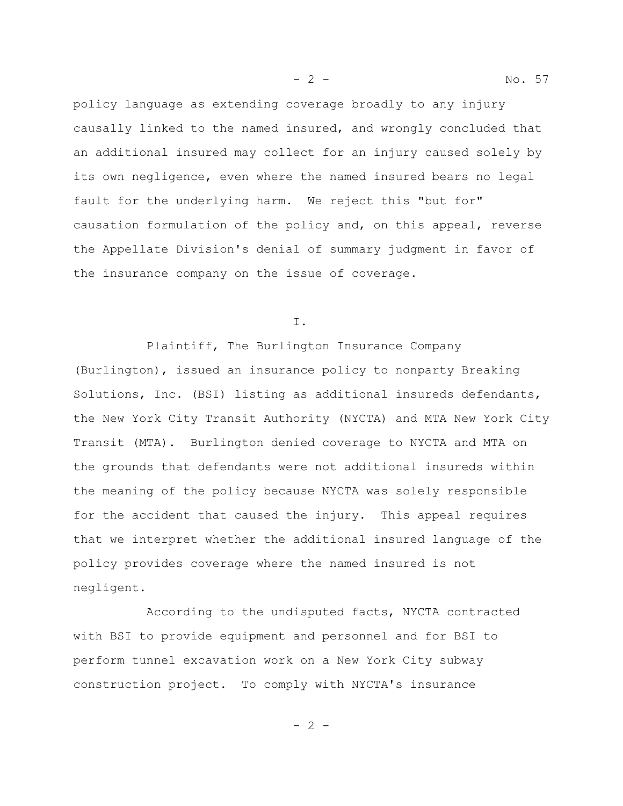policy language as extending coverage broadly to any injury causally linked to the named insured, and wrongly concluded that an additional insured may collect for an injury caused solely by its own negligence, even where the named insured bears no legal fault for the underlying harm. We reject this "but for" causation formulation of the policy and, on this appeal, reverse the Appellate Division's denial of summary judgment in favor of the insurance company on the issue of coverage.

I.

Plaintiff, The Burlington Insurance Company (Burlington), issued an insurance policy to nonparty Breaking Solutions, Inc. (BSI) listing as additional insureds defendants, the New York City Transit Authority (NYCTA) and MTA New York City Transit (MTA). Burlington denied coverage to NYCTA and MTA on the grounds that defendants were not additional insureds within the meaning of the policy because NYCTA was solely responsible for the accident that caused the injury. This appeal requires that we interpret whether the additional insured language of the policy provides coverage where the named insured is not negligent.

According to the undisputed facts, NYCTA contracted with BSI to provide equipment and personnel and for BSI to perform tunnel excavation work on a New York City subway construction project. To comply with NYCTA's insurance

 $- 2 -$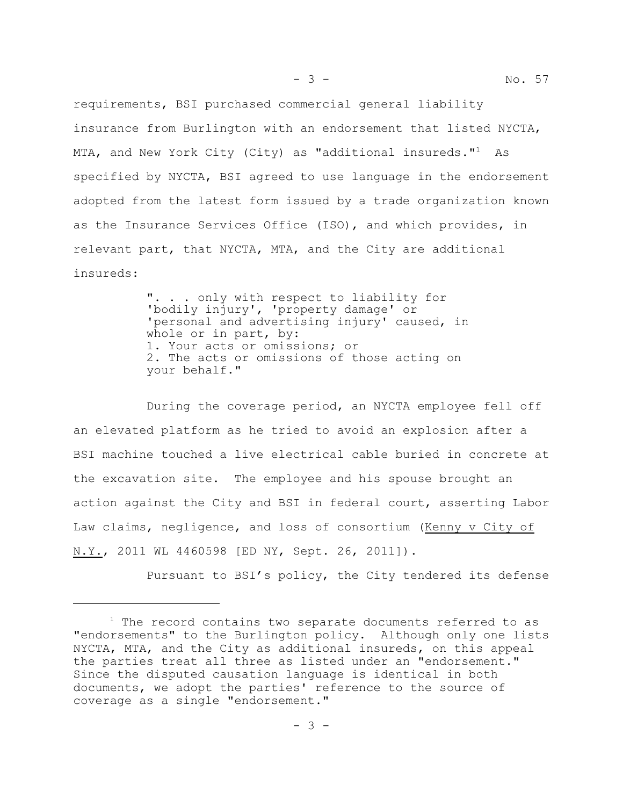requirements, BSI purchased commercial general liability insurance from Burlington with an endorsement that listed NYCTA, MTA, and New York City (City) as "additional insureds."<sup>1</sup> As specified by NYCTA, BSI agreed to use language in the endorsement adopted from the latest form issued by a trade organization known as the Insurance Services Office (ISO), and which provides, in relevant part, that NYCTA, MTA, and the City are additional insureds:

> ". . . only with respect to liability for 'bodily injury', 'property damage' or 'personal and advertising injury' caused, in whole or in part, by: 1. Your acts or omissions; or 2. The acts or omissions of those acting on your behalf."

During the coverage period, an NYCTA employee fell off an elevated platform as he tried to avoid an explosion after a BSI machine touched a live electrical cable buried in concrete at the excavation site. The employee and his spouse brought an action against the City and BSI in federal court, asserting Labor Law claims, negligence, and loss of consortium (Kenny v City of N.Y., 2011 WL 4460598 [ED NY, Sept. 26, 2011]).

Pursuant to BSI's policy, the City tendered its defense

 $1$  The record contains two separate documents referred to as "endorsements" to the Burlington policy. Although only one lists NYCTA, MTA, and the City as additional insureds, on this appeal the parties treat all three as listed under an "endorsement." Since the disputed causation language is identical in both documents, we adopt the parties' reference to the source of coverage as a single "endorsement."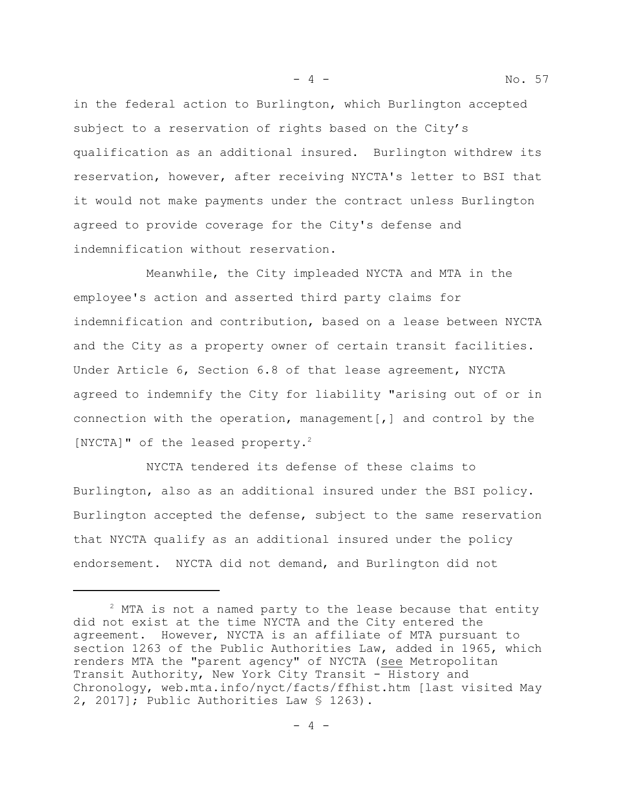in the federal action to Burlington, which Burlington accepted subject to a reservation of rights based on the City's qualification as an additional insured. Burlington withdrew its reservation, however, after receiving NYCTA's letter to BSI that it would not make payments under the contract unless Burlington agreed to provide coverage for the City's defense and indemnification without reservation.

Meanwhile, the City impleaded NYCTA and MTA in the employee's action and asserted third party claims for indemnification and contribution, based on a lease between NYCTA and the City as a property owner of certain transit facilities. Under Article 6, Section 6.8 of that lease agreement, NYCTA agreed to indemnify the City for liability "arising out of or in connection with the operation, management $[j]$  and control by the [NYCTA]" of the leased property.<sup>2</sup>

NYCTA tendered its defense of these claims to Burlington, also as an additional insured under the BSI policy. Burlington accepted the defense, subject to the same reservation that NYCTA qualify as an additional insured under the policy endorsement. NYCTA did not demand, and Burlington did not

 $2$  MTA is not a named party to the lease because that entity did not exist at the time NYCTA and the City entered the agreement. However, NYCTA is an affiliate of MTA pursuant to section 1263 of the Public Authorities Law, added in 1965, which renders MTA the "parent agency" of NYCTA (see Metropolitan Transit Authority, New York City Transit - History and Chronology, web.mta.info/nyct/facts/ffhist.htm [last visited May 2, 2017]; Public Authorities Law § 1263).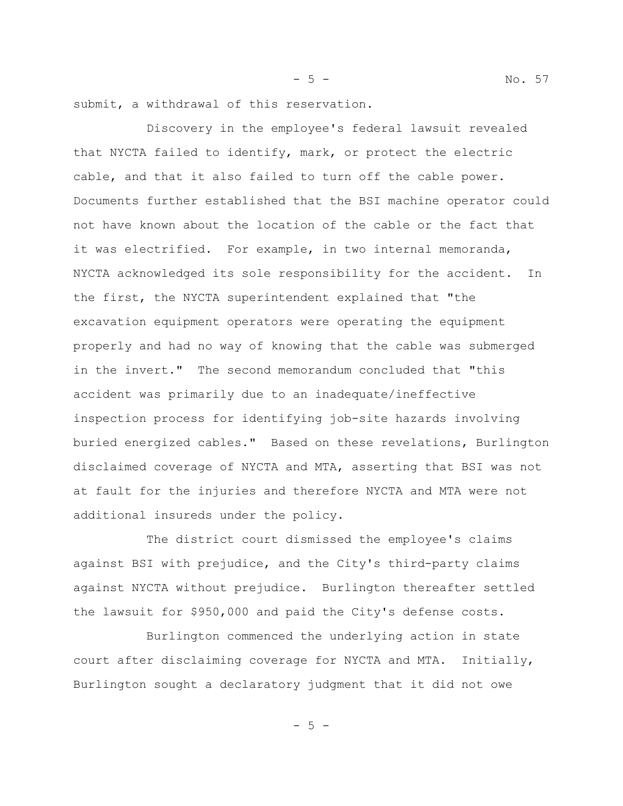submit, a withdrawal of this reservation.

Discovery in the employee's federal lawsuit revealed that NYCTA failed to identify, mark, or protect the electric cable, and that it also failed to turn off the cable power. Documents further established that the BSI machine operator could not have known about the location of the cable or the fact that it was electrified. For example, in two internal memoranda, NYCTA acknowledged its sole responsibility for the accident. In the first, the NYCTA superintendent explained that "the excavation equipment operators were operating the equipment properly and had no way of knowing that the cable was submerged in the invert." The second memorandum concluded that "this accident was primarily due to an inadequate/ineffective inspection process for identifying job-site hazards involving buried energized cables." Based on these revelations, Burlington disclaimed coverage of NYCTA and MTA, asserting that BSI was not at fault for the injuries and therefore NYCTA and MTA were not additional insureds under the policy.

The district court dismissed the employee's claims against BSI with prejudice, and the City's third-party claims against NYCTA without prejudice. Burlington thereafter settled the lawsuit for \$950,000 and paid the City's defense costs.

Burlington commenced the underlying action in state court after disclaiming coverage for NYCTA and MTA. Initially, Burlington sought a declaratory judgment that it did not owe

- 5 -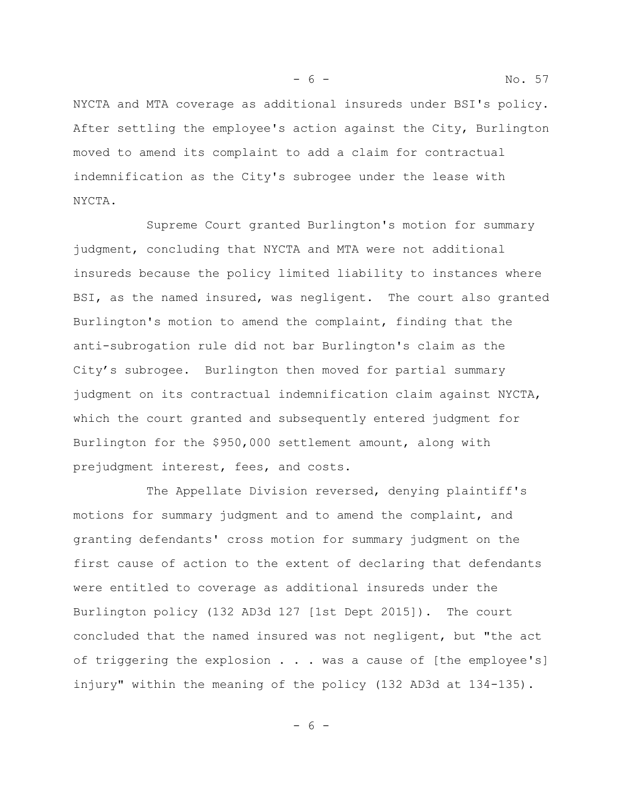NYCTA and MTA coverage as additional insureds under BSI's policy. After settling the employee's action against the City, Burlington moved to amend its complaint to add a claim for contractual indemnification as the City's subrogee under the lease with NYCTA.

Supreme Court granted Burlington's motion for summary judgment, concluding that NYCTA and MTA were not additional insureds because the policy limited liability to instances where BSI, as the named insured, was negligent. The court also granted Burlington's motion to amend the complaint, finding that the anti-subrogation rule did not bar Burlington's claim as the City's subrogee. Burlington then moved for partial summary judgment on its contractual indemnification claim against NYCTA, which the court granted and subsequently entered judgment for Burlington for the \$950,000 settlement amount, along with prejudgment interest, fees, and costs.

The Appellate Division reversed, denying plaintiff's motions for summary judgment and to amend the complaint, and granting defendants' cross motion for summary judgment on the first cause of action to the extent of declaring that defendants were entitled to coverage as additional insureds under the Burlington policy (132 AD3d 127 [1st Dept 2015]). The court concluded that the named insured was not negligent, but "the act of triggering the explosion . . . was a cause of [the employee's] injury" within the meaning of the policy (132 AD3d at 134-135).

- 6 -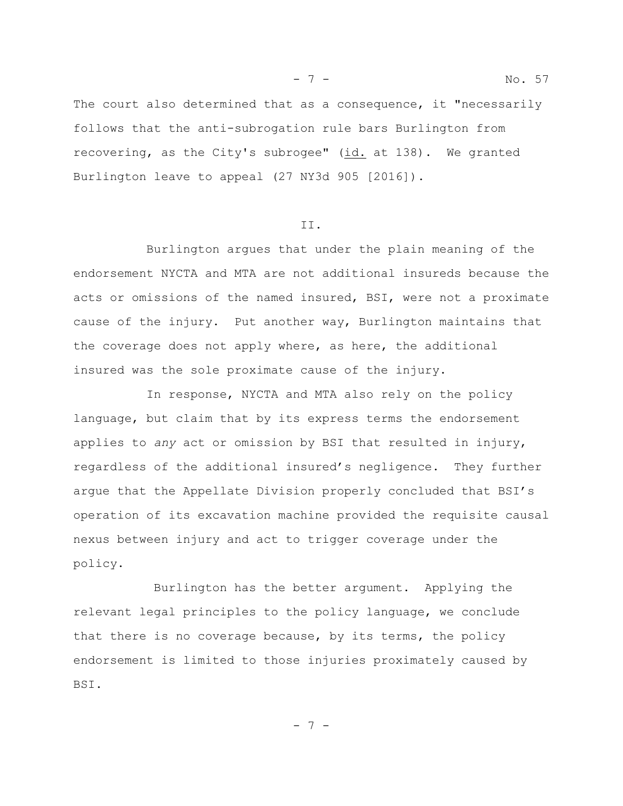The court also determined that as a consequence, it "necessarily follows that the anti-subrogation rule bars Burlington from recovering, as the City's subrogee" (id. at 138). We granted Burlington leave to appeal (27 NY3d 905 [2016]).

II.

Burlington argues that under the plain meaning of the endorsement NYCTA and MTA are not additional insureds because the acts or omissions of the named insured, BSI, were not a proximate cause of the injury. Put another way, Burlington maintains that the coverage does not apply where, as here, the additional insured was the sole proximate cause of the injury.

In response, NYCTA and MTA also rely on the policy language, but claim that by its express terms the endorsement applies to *any* act or omission by BSI that resulted in injury, regardless of the additional insured's negligence. They further argue that the Appellate Division properly concluded that BSI's operation of its excavation machine provided the requisite causal nexus between injury and act to trigger coverage under the policy.

 Burlington has the better argument. Applying the relevant legal principles to the policy language, we conclude that there is no coverage because, by its terms, the policy endorsement is limited to those injuries proximately caused by BSI.

- 7 -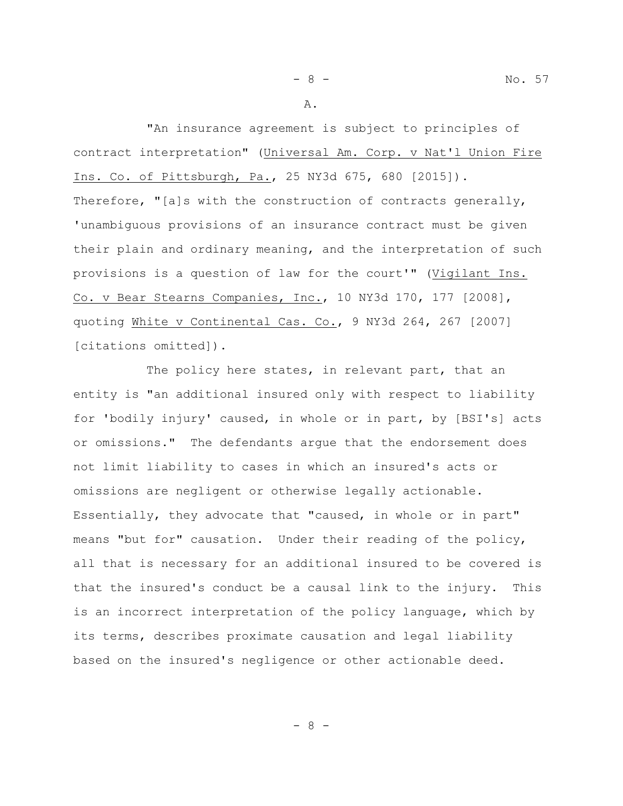"An insurance agreement is subject to principles of contract interpretation" (Universal Am. Corp. v Nat'l Union Fire Ins. Co. of Pittsburgh, Pa., 25 NY3d 675, 680 [2015]). Therefore, "[a]s with the construction of contracts generally, 'unambiguous provisions of an insurance contract must be given their plain and ordinary meaning, and the interpretation of such provisions is a question of law for the court'" (Vigilant Ins. Co. v Bear Stearns Companies, Inc., 10 NY3d 170, 177 [2008], quoting White v Continental Cas. Co., 9 NY3d 264, 267 [2007] [citations omitted]).

The policy here states, in relevant part, that an entity is "an additional insured only with respect to liability for 'bodily injury' caused, in whole or in part, by [BSI's] acts or omissions." The defendants argue that the endorsement does not limit liability to cases in which an insured's acts or omissions are negligent or otherwise legally actionable. Essentially, they advocate that "caused, in whole or in part" means "but for" causation. Under their reading of the policy, all that is necessary for an additional insured to be covered is that the insured's conduct be a causal link to the injury. This is an incorrect interpretation of the policy language, which by its terms, describes proximate causation and legal liability based on the insured's negligence or other actionable deed.

- 8 -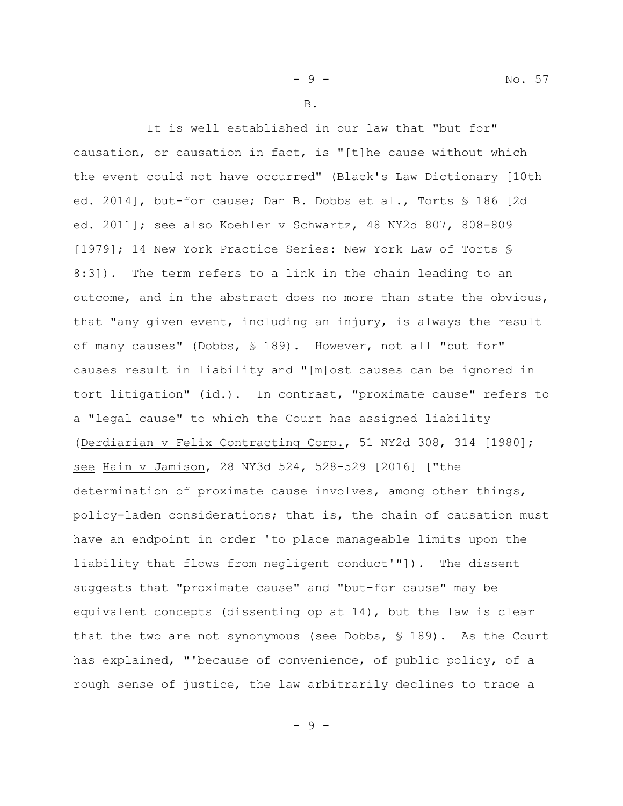B.

It is well established in our law that "but for" causation, or causation in fact, is "[t]he cause without which the event could not have occurred" (Black's Law Dictionary [10th ed. 2014], but-for cause; Dan B. Dobbs et al., Torts § 186 [2d ed. 2011]; see also Koehler v Schwartz, 48 NY2d 807, 808-809 [1979]; 14 New York Practice Series: New York Law of Torts § 8:3]). The term refers to a link in the chain leading to an outcome, and in the abstract does no more than state the obvious, that "any given event, including an injury, is always the result of many causes" (Dobbs, § 189). However, not all "but for" causes result in liability and "[m]ost causes can be ignored in tort litigation" (id.). In contrast, "proximate cause" refers to a "legal cause" to which the Court has assigned liability (Derdiarian v Felix Contracting Corp., 51 NY2d 308, 314 [1980]; see Hain v Jamison, 28 NY3d 524, 528-529 [2016] ["the determination of proximate cause involves, among other things, policy-laden considerations; that is, the chain of causation must have an endpoint in order 'to place manageable limits upon the liability that flows from negligent conduct'"])*.* The dissent suggests that "proximate cause" and "but-for cause" may be equivalent concepts (dissenting op at 14), but the law is clear that the two are not synonymous (see Dobbs,  $\frac{1}{5}$  189). As the Court has explained, "'because of convenience, of public policy, of a rough sense of justice, the law arbitrarily declines to trace a

- 9 -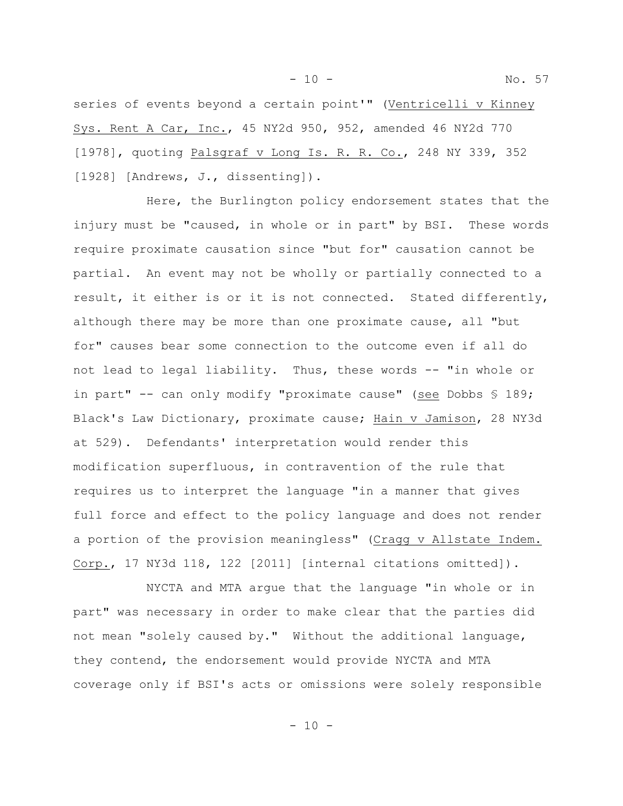- 10 - No. 57

series of events beyond a certain point'" (Ventricelli v Kinney Sys. Rent A Car, Inc., 45 NY2d 950, 952, amended 46 NY2d 770 [1978], quoting Palsgraf v Long Is. R. R. Co., 248 NY 339, 352 [1928] [Andrews, J., dissenting]).

Here, the Burlington policy endorsement states that the injury must be "caused, in whole or in part" by BSI. These words require proximate causation since "but for" causation cannot be partial. An event may not be wholly or partially connected to a result, it either is or it is not connected. Stated differently, although there may be more than one proximate cause, all "but for" causes bear some connection to the outcome even if all do not lead to legal liability. Thus, these words -- "in whole or in part"  $-$  can only modify "proximate cause" (see Dobbs  $\frac{189}{160}$ Black's Law Dictionary, proximate cause; Hain v Jamison, 28 NY3d at 529). Defendants' interpretation would render this modification superfluous, in contravention of the rule that requires us to interpret the language "in a manner that gives full force and effect to the policy language and does not render a portion of the provision meaningless" (Cragg v Allstate Indem. Corp., 17 NY3d 118, 122 [2011] [internal citations omitted]).

NYCTA and MTA argue that the language "in whole or in part" was necessary in order to make clear that the parties did not mean "solely caused by." Without the additional language, they contend, the endorsement would provide NYCTA and MTA coverage only if BSI's acts or omissions were solely responsible

 $- 10 -$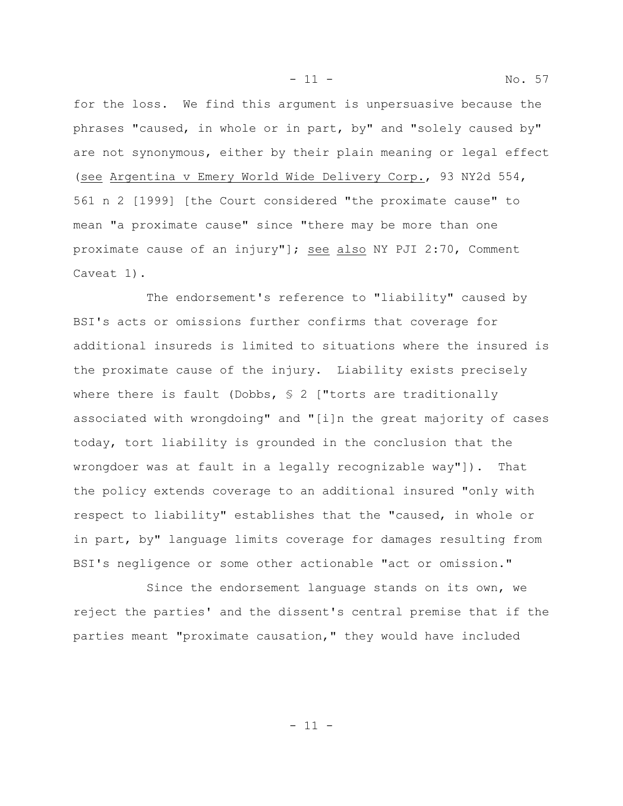for the loss. We find this argument is unpersuasive because the phrases "caused, in whole or in part, by" and "solely caused by" are not synonymous, either by their plain meaning or legal effect (see Argentina v Emery World Wide Delivery Corp., 93 NY2d 554, 561 n 2 [1999] [the Court considered "the proximate cause" to mean "a proximate cause" since "there may be more than one proximate cause of an injury"]; see also NY PJI 2:70, Comment Caveat 1).

The endorsement's reference to "liability" caused by BSI's acts or omissions further confirms that coverage for additional insureds is limited to situations where the insured is the proximate cause of the injury. Liability exists precisely where there is fault (Dobbs,  $\S$  2 ["torts are traditionally associated with wrongdoing" and "[i]n the great majority of cases today, tort liability is grounded in the conclusion that the wrongdoer was at fault in a legally recognizable way"]). That the policy extends coverage to an additional insured "only with respect to liability" establishes that the "caused, in whole or in part, by" language limits coverage for damages resulting from BSI's negligence or some other actionable "act or omission."

Since the endorsement language stands on its own, we reject the parties' and the dissent's central premise that if the parties meant "proximate causation," they would have included

 $-11 -$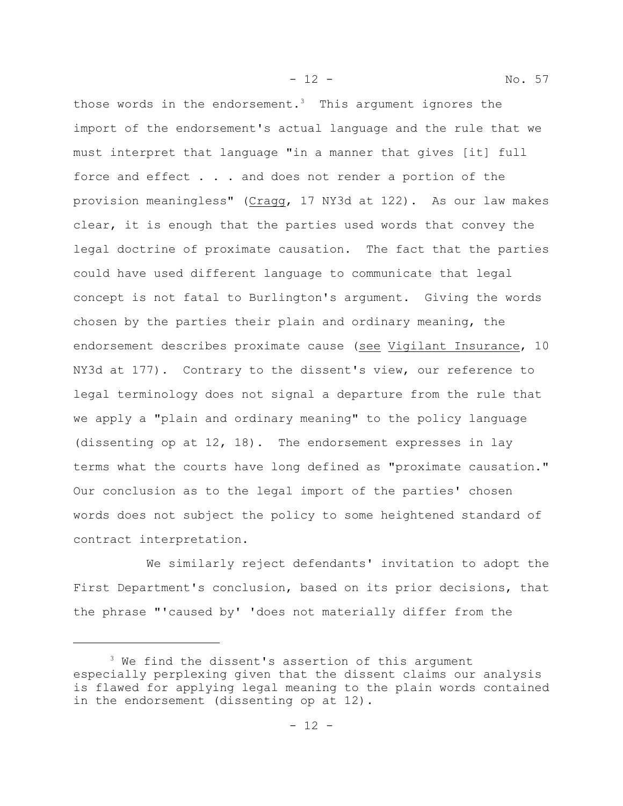those words in the endorsement.<sup>3</sup> This argument ignores the import of the endorsement's actual language and the rule that we must interpret that language "in a manner that gives [it] full force and effect . . . and does not render a portion of the provision meaningless" (Cragg, 17 NY3d at 122). As our law makes clear, it is enough that the parties used words that convey the legal doctrine of proximate causation. The fact that the parties could have used different language to communicate that legal concept is not fatal to Burlington's argument. Giving the words chosen by the parties their plain and ordinary meaning, the endorsement describes proximate cause (see Vigilant Insurance, 10 NY3d at 177). Contrary to the dissent's view, our reference to legal terminology does not signal a departure from the rule that we apply a "plain and ordinary meaning" to the policy language (dissenting op at 12, 18). The endorsement expresses in lay terms what the courts have long defined as "proximate causation." Our conclusion as to the legal import of the parties' chosen words does not subject the policy to some heightened standard of contract interpretation.

- 12 - No. 57

We similarly reject defendants' invitation to adopt the First Department's conclusion, based on its prior decisions, that the phrase "'caused by' 'does not materially differ from the

<sup>&</sup>lt;sup>3</sup> We find the dissent's assertion of this argument especially perplexing given that the dissent claims our analysis is flawed for applying legal meaning to the plain words contained in the endorsement (dissenting op at 12).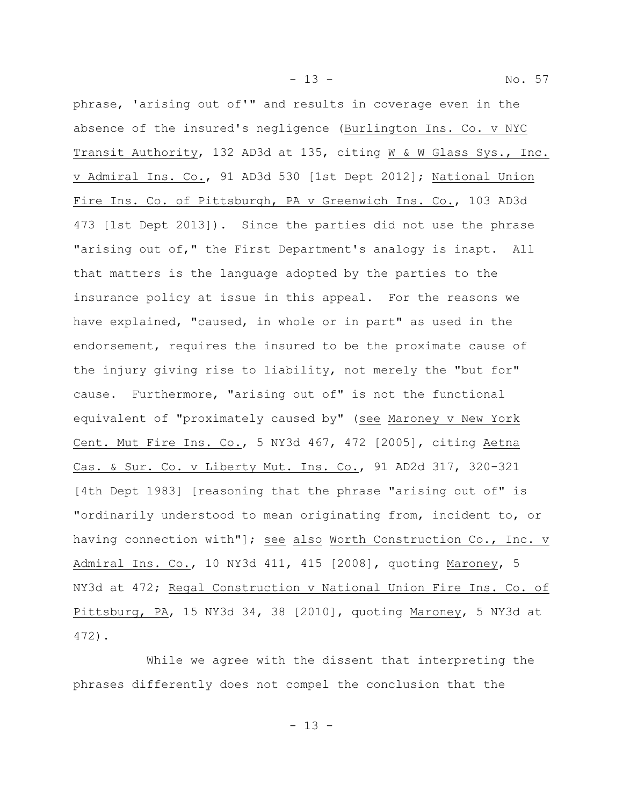phrase, 'arising out of'" and results in coverage even in the absence of the insured's negligence (Burlington Ins. Co. v NYC Transit Authority, 132 AD3d at 135, citing W & W Glass Sys., Inc. v Admiral Ins. Co., 91 AD3d 530 [1st Dept 2012]; National Union Fire Ins. Co. of Pittsburgh, PA v Greenwich Ins. Co., 103 AD3d 473 [1st Dept 2013]). Since the parties did not use the phrase "arising out of," the First Department's analogy is inapt. All that matters is the language adopted by the parties to the insurance policy at issue in this appeal. For the reasons we have explained, "caused, in whole or in part" as used in the endorsement, requires the insured to be the proximate cause of the injury giving rise to liability, not merely the "but for" cause. Furthermore, "arising out of" is not the functional equivalent of "proximately caused by" (see Maroney v New York Cent. Mut Fire Ins. Co., 5 NY3d 467, 472 [2005], citing Aetna Cas. & Sur. Co. v Liberty Mut. Ins. Co., 91 AD2d 317, 320-321 [4th Dept 1983] [reasoning that the phrase "arising out of" is "ordinarily understood to mean originating from, incident to, or having connection with"]; see also Worth Construction Co., Inc. v Admiral Ins. Co., 10 NY3d 411, 415 [2008], quoting Maroney, 5 NY3d at 472; Regal Construction v National Union Fire Ins. Co. of Pittsburg, PA, 15 NY3d 34, 38 [2010], quoting Maroney, 5 NY3d at

- 13 - No. 57

While we agree with the dissent that interpreting the phrases differently does not compel the conclusion that the

472).

- 13 -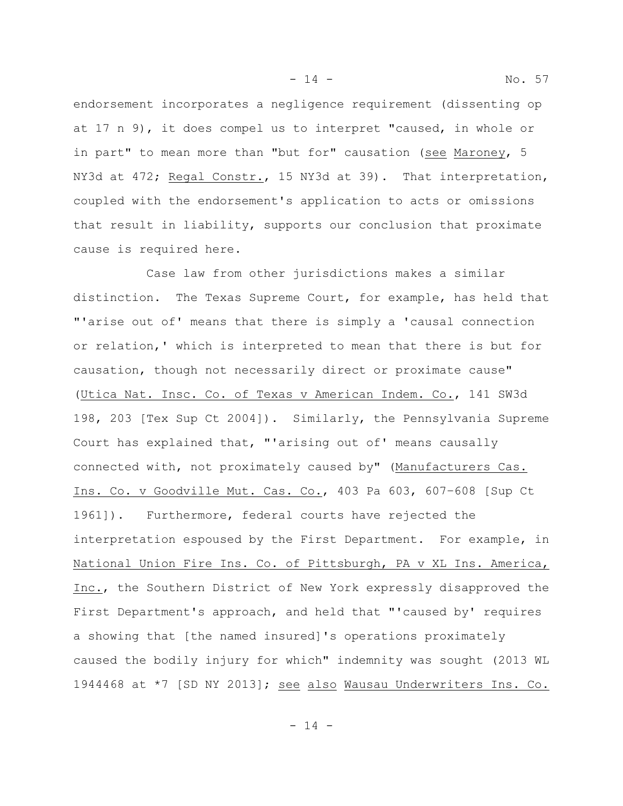endorsement incorporates a negligence requirement (dissenting op at 17 n 9), it does compel us to interpret "caused, in whole or in part" to mean more than "but for" causation (see Maroney, 5 NY3d at 472; Regal Constr., 15 NY3d at 39). That interpretation, coupled with the endorsement's application to acts or omissions that result in liability, supports our conclusion that proximate cause is required here.

Case law from other jurisdictions makes a similar distinction. The Texas Supreme Court, for example, has held that "'arise out of' means that there is simply a 'causal connection or relation,' which is interpreted to mean that there is but for causation, though not necessarily direct or proximate cause" (Utica Nat. Insc. Co. of Texas v American Indem. Co., 141 SW3d 198, 203 [Tex Sup Ct 2004]). Similarly, the Pennsylvania Supreme Court has explained that, "'arising out of' means causally connected with, not proximately caused by" (Manufacturers Cas. Ins. Co. v Goodville Mut. Cas. Co., 403 Pa 603, 607–608 [Sup Ct 1961]). Furthermore, federal courts have rejected the interpretation espoused by the First Department. For example, in National Union Fire Ins. Co. of Pittsburgh, PA v XL Ins. America, Inc., the Southern District of New York expressly disapproved the First Department's approach, and held that "'caused by' requires a showing that [the named insured]'s operations proximately caused the bodily injury for which" indemnity was sought (2013 WL 1944468 at \*7 [SD NY 2013]; see also Wausau Underwriters Ins. Co.

- 14 - No. 57

- 14 -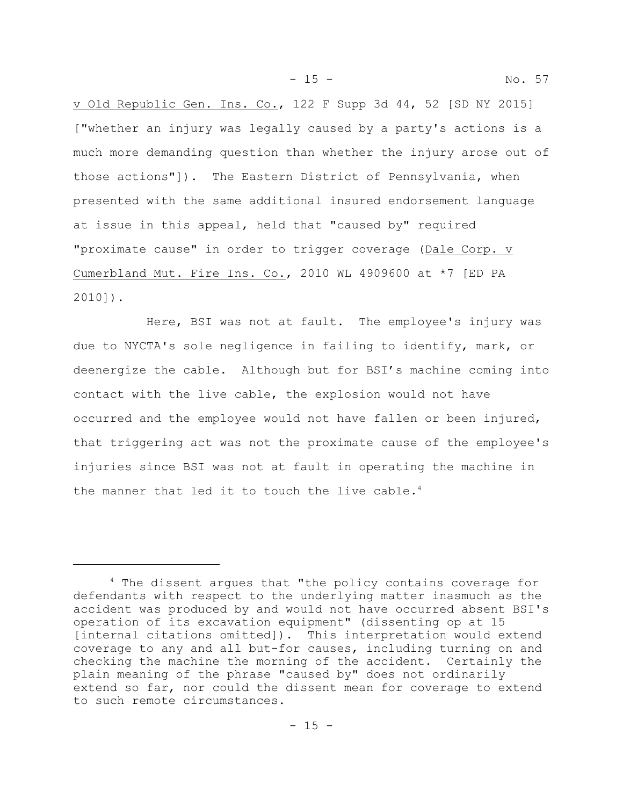v Old Republic Gen. Ins. Co., 122 F Supp 3d 44, 52 [SD NY 2015] ["whether an injury was legally caused by a party's actions is a much more demanding question than whether the injury arose out of those actions"]). The Eastern District of Pennsylvania, when presented with the same additional insured endorsement language at issue in this appeal, held that "caused by" required "proximate cause" in order to trigger coverage (Dale Corp. v Cumerbland Mut. Fire Ins. Co., 2010 WL 4909600 at \*7 [ED PA 2010]).

Here, BSI was not at fault. The employee's injury was due to NYCTA's sole negligence in failing to identify, mark, or deenergize the cable. Although but for BSI's machine coming into contact with the live cable, the explosion would not have occurred and the employee would not have fallen or been injured, that triggering act was not the proximate cause of the employee's injuries since BSI was not at fault in operating the machine in the manner that led it to touch the live cable. $4$ 

<sup>4</sup> The dissent argues that "the policy contains coverage for defendants with respect to the underlying matter inasmuch as the accident was produced by and would not have occurred absent BSI's operation of its excavation equipment" (dissenting op at 15 [internal citations omitted]). This interpretation would extend coverage to any and all but-for causes, including turning on and checking the machine the morning of the accident. Certainly the plain meaning of the phrase "caused by" does not ordinarily extend so far, nor could the dissent mean for coverage to extend to such remote circumstances.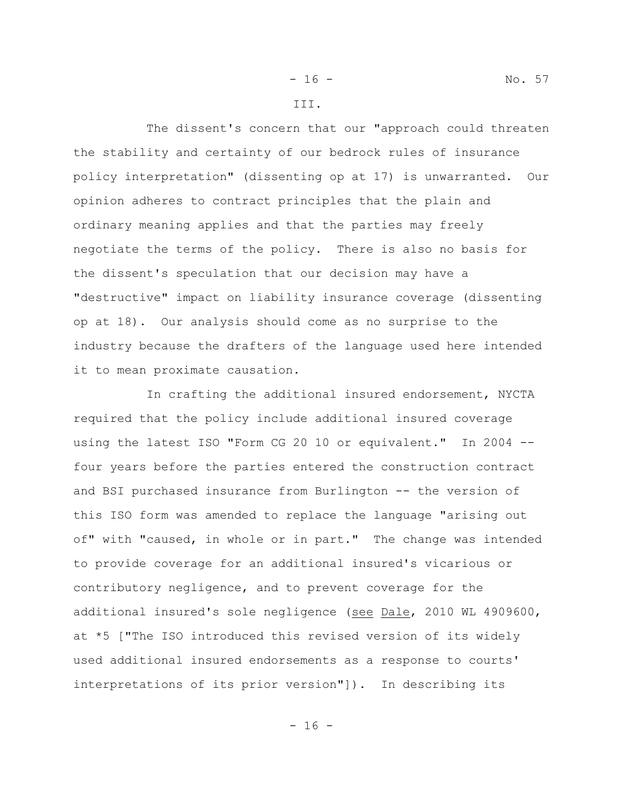#### III.

The dissent's concern that our "approach could threaten the stability and certainty of our bedrock rules of insurance policy interpretation" (dissenting op at 17) is unwarranted. Our opinion adheres to contract principles that the plain and ordinary meaning applies and that the parties may freely negotiate the terms of the policy. There is also no basis for the dissent's speculation that our decision may have a "destructive" impact on liability insurance coverage (dissenting op at 18). Our analysis should come as no surprise to the industry because the drafters of the language used here intended it to mean proximate causation.

In crafting the additional insured endorsement, NYCTA required that the policy include additional insured coverage using the latest ISO "Form CG 20 10 or equivalent." In 2004 -four years before the parties entered the construction contract and BSI purchased insurance from Burlington -- the version of this ISO form was amended to replace the language "arising out of" with "caused, in whole or in part." The change was intended to provide coverage for an additional insured's vicarious or contributory negligence, and to prevent coverage for the additional insured's sole negligence (see Dale, 2010 WL 4909600, at \*5 ["The ISO introduced this revised version of its widely used additional insured endorsements as a response to courts' interpretations of its prior version"]). In describing its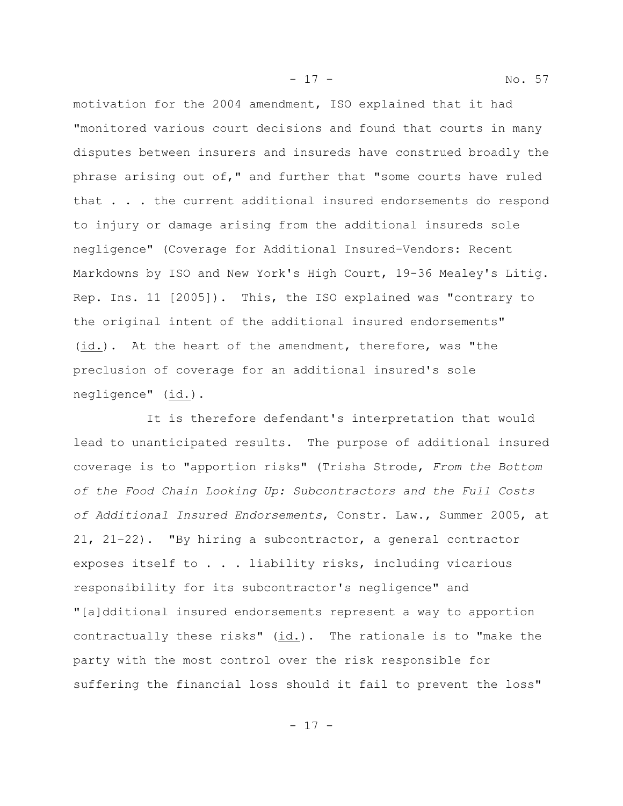motivation for the 2004 amendment, ISO explained that it had "monitored various court decisions and found that courts in many disputes between insurers and insureds have construed broadly the phrase arising out of," and further that "some courts have ruled that . . . the current additional insured endorsements do respond to injury or damage arising from the additional insureds sole negligence" (Coverage for Additional Insured-Vendors: Recent Markdowns by ISO and New York's High Court, 19-36 Mealey's Litig. Rep. Ins. 11 [2005]). This, the ISO explained was "contrary to the original intent of the additional insured endorsements" (id.). At the heart of the amendment, therefore, was "the preclusion of coverage for an additional insured's sole negligence" (id.).

It is therefore defendant's interpretation that would lead to unanticipated results. The purpose of additional insured coverage is to "apportion risks" (Trisha Strode, *From the Bottom of the Food Chain Looking Up: Subcontractors and the Full Costs of Additional Insured Endorsements*, Constr. Law., Summer 2005, at 21, 21–22). "By hiring a subcontractor, a general contractor exposes itself to . . . liability risks, including vicarious responsibility for its subcontractor's negligence" and "[a]dditional insured endorsements represent a way to apportion contractually these risks" (id.). The rationale is to "make the party with the most control over the risk responsible for suffering the financial loss should it fail to prevent the loss"

- 17 - No. 57

 $- 17 -$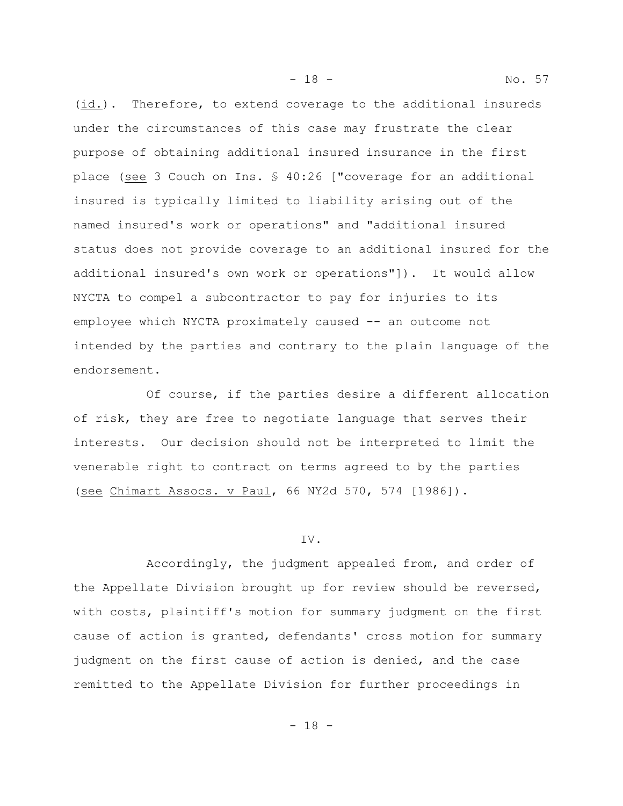(id.). Therefore, to extend coverage to the additional insureds under the circumstances of this case may frustrate the clear purpose of obtaining additional insured insurance in the first place (see 3 Couch on Ins. § 40:26 ["coverage for an additional insured is typically limited to liability arising out of the named insured's work or operations" and "additional insured status does not provide coverage to an additional insured for the additional insured's own work or operations"]). It would allow NYCTA to compel a subcontractor to pay for injuries to its employee which NYCTA proximately caused -- an outcome not intended by the parties and contrary to the plain language of the endorsement.

Of course, if the parties desire a different allocation of risk, they are free to negotiate language that serves their interests. Our decision should not be interpreted to limit the venerable right to contract on terms agreed to by the parties (see Chimart Assocs. v Paul, 66 NY2d 570, 574 [1986]).

#### IV.

Accordingly, the judgment appealed from, and order of the Appellate Division brought up for review should be reversed, with costs, plaintiff's motion for summary judgment on the first cause of action is granted, defendants' cross motion for summary judgment on the first cause of action is denied, and the case remitted to the Appellate Division for further proceedings in

- 18 - No. 57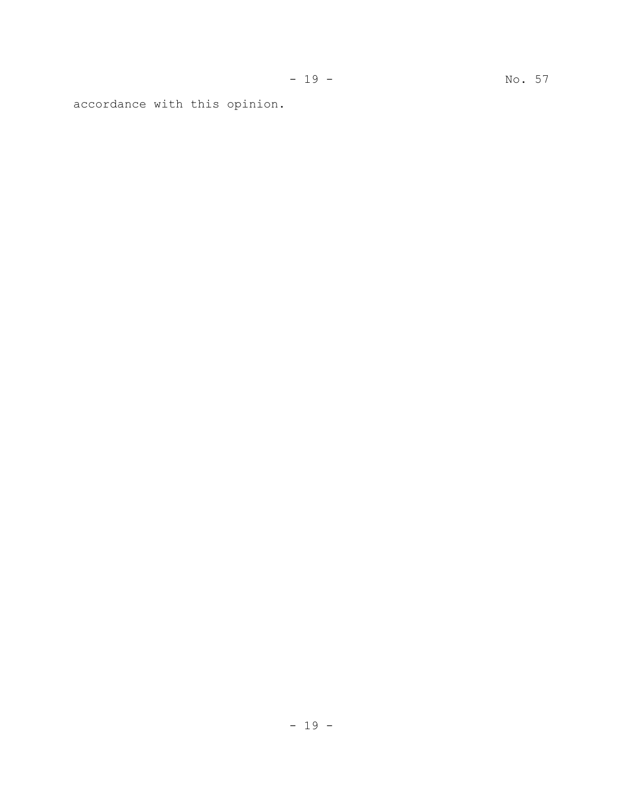accordance with this opinion.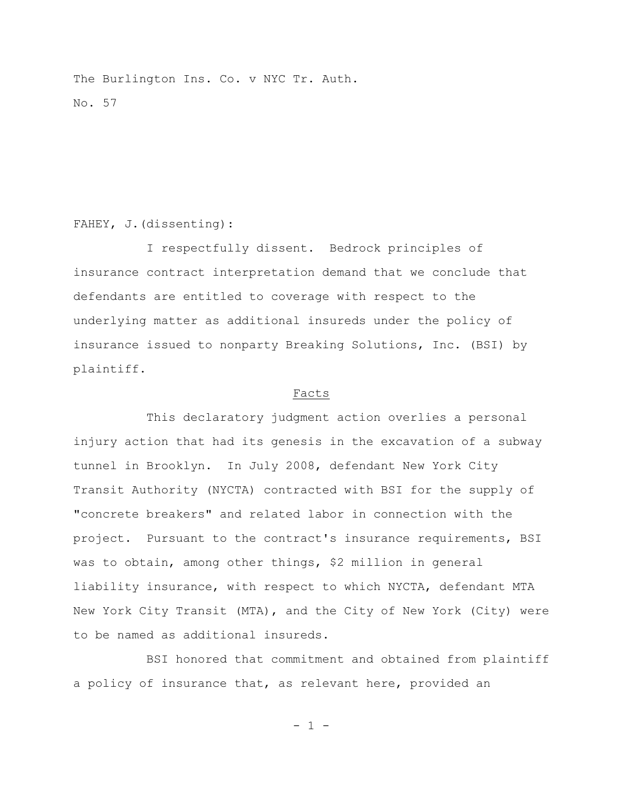The Burlington Ins. Co. v NYC Tr. Auth. No. 57

# FAHEY, J.(dissenting):

I respectfully dissent. Bedrock principles of insurance contract interpretation demand that we conclude that defendants are entitled to coverage with respect to the underlying matter as additional insureds under the policy of insurance issued to nonparty Breaking Solutions, Inc. (BSI) by plaintiff.

# Facts

This declaratory judgment action overlies a personal injury action that had its genesis in the excavation of a subway tunnel in Brooklyn. In July 2008, defendant New York City Transit Authority (NYCTA) contracted with BSI for the supply of "concrete breakers" and related labor in connection with the project. Pursuant to the contract's insurance requirements, BSI was to obtain, among other things, \$2 million in general liability insurance, with respect to which NYCTA, defendant MTA New York City Transit (MTA), and the City of New York (City) were to be named as additional insureds.

BSI honored that commitment and obtained from plaintiff a policy of insurance that, as relevant here, provided an

 $- 1 -$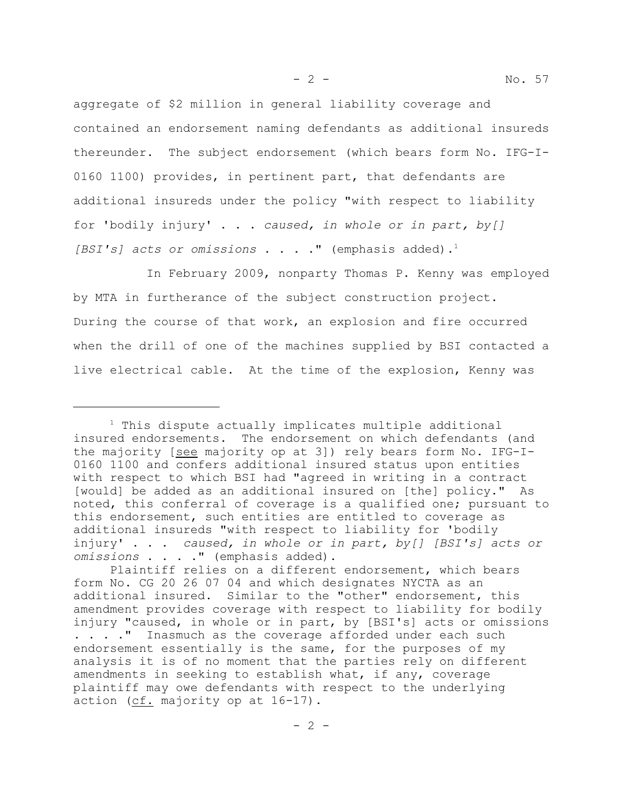aggregate of \$2 million in general liability coverage and contained an endorsement naming defendants as additional insureds thereunder. The subject endorsement (which bears form No. IFG-I-0160 1100) provides, in pertinent part, that defendants are additional insureds under the policy "with respect to liability for 'bodily injury' . . . *caused, in whole or in part, by[]* [BSI's] acts or omissions . . . . " (emphasis added).<sup>1</sup>

In February 2009, nonparty Thomas P. Kenny was employed by MTA in furtherance of the subject construction project. During the course of that work, an explosion and fire occurred when the drill of one of the machines supplied by BSI contacted a live electrical cable. At the time of the explosion, Kenny was

<sup>&</sup>lt;sup>1</sup> This dispute actually implicates multiple additional insured endorsements. The endorsement on which defendants (and the majority [see majority op at 3]) rely bears form No. IFG-I-0160 1100 and confers additional insured status upon entities with respect to which BSI had "agreed in writing in a contract [would] be added as an additional insured on [the] policy." As noted, this conferral of coverage is a qualified one; pursuant to this endorsement, such entities are entitled to coverage as additional insureds "with respect to liability for 'bodily injury' . . . *caused, in whole or in part, by[] [BSI's] acts or omissions* . . . ." (emphasis added).

Plaintiff relies on a different endorsement, which bears form No. CG 20 26 07 04 and which designates NYCTA as an additional insured. Similar to the "other" endorsement, this amendment provides coverage with respect to liability for bodily injury "caused, in whole or in part, by [BSI's] acts or omissions . . . ." Inasmuch as the coverage afforded under each such endorsement essentially is the same, for the purposes of my analysis it is of no moment that the parties rely on different amendments in seeking to establish what, if any, coverage plaintiff may owe defendants with respect to the underlying action (cf. majority op at 16-17).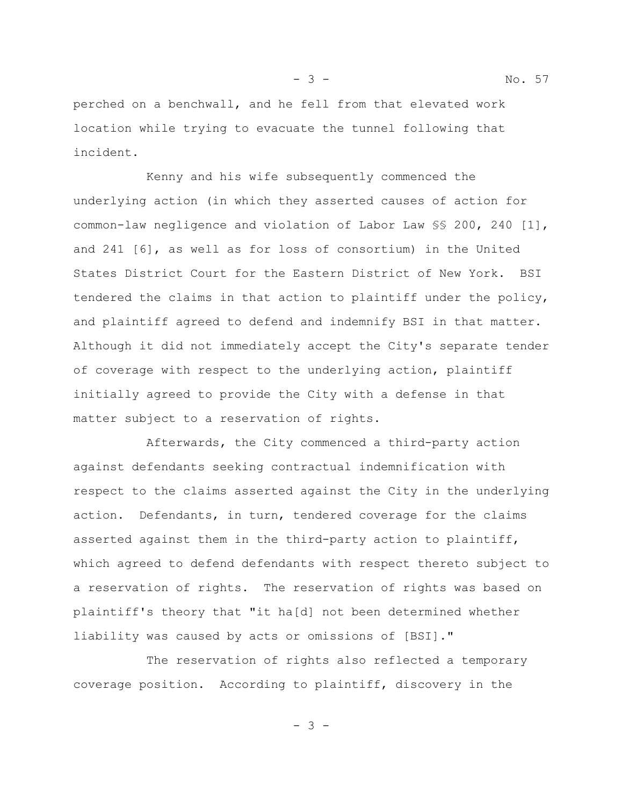- 3 - No. 57

perched on a benchwall, and he fell from that elevated work location while trying to evacuate the tunnel following that incident.

Kenny and his wife subsequently commenced the underlying action (in which they asserted causes of action for common-law negligence and violation of Labor Law §§ 200, 240 [1], and 241 [6], as well as for loss of consortium) in the United States District Court for the Eastern District of New York. BSI tendered the claims in that action to plaintiff under the policy, and plaintiff agreed to defend and indemnify BSI in that matter. Although it did not immediately accept the City's separate tender of coverage with respect to the underlying action, plaintiff initially agreed to provide the City with a defense in that matter subject to a reservation of rights.

Afterwards, the City commenced a third-party action against defendants seeking contractual indemnification with respect to the claims asserted against the City in the underlying action. Defendants, in turn, tendered coverage for the claims asserted against them in the third-party action to plaintiff, which agreed to defend defendants with respect thereto subject to a reservation of rights. The reservation of rights was based on plaintiff's theory that "it ha[d] not been determined whether liability was caused by acts or omissions of [BSI]."

The reservation of rights also reflected a temporary coverage position. According to plaintiff, discovery in the

- 3 -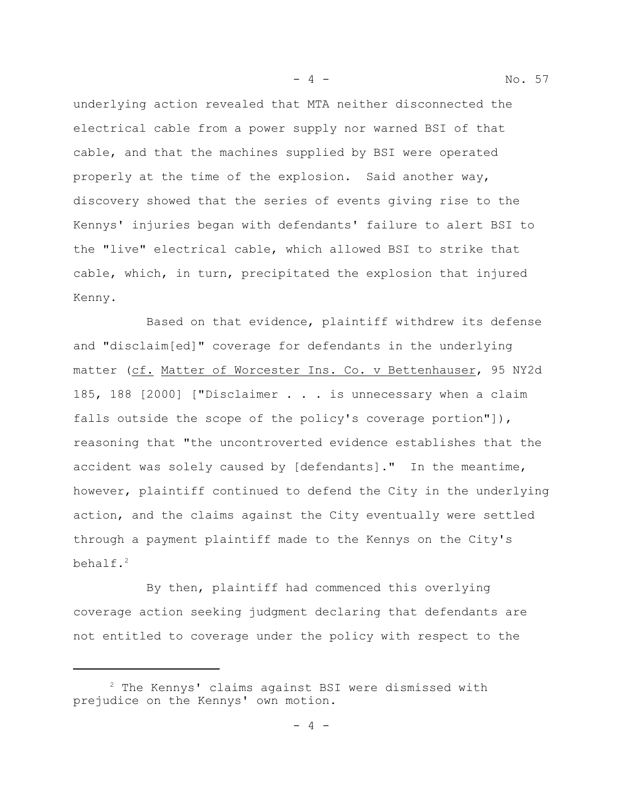underlying action revealed that MTA neither disconnected the electrical cable from a power supply nor warned BSI of that cable, and that the machines supplied by BSI were operated properly at the time of the explosion. Said another way, discovery showed that the series of events giving rise to the Kennys' injuries began with defendants' failure to alert BSI to the "live" electrical cable, which allowed BSI to strike that cable, which, in turn, precipitated the explosion that injured Kenny.

Based on that evidence, plaintiff withdrew its defense and "disclaim[ed]" coverage for defendants in the underlying matter (cf. Matter of Worcester Ins. Co. v Bettenhauser, 95 NY2d 185, 188 [2000] ["Disclaimer . . . is unnecessary when a claim falls outside the scope of the policy's coverage portion"]), reasoning that "the uncontroverted evidence establishes that the accident was solely caused by [defendants]." In the meantime, however, plaintiff continued to defend the City in the underlying action, and the claims against the City eventually were settled through a payment plaintiff made to the Kennys on the City's behalf.<sup>2</sup>

By then, plaintiff had commenced this overlying coverage action seeking judgment declaring that defendants are not entitled to coverage under the policy with respect to the

<sup>&</sup>lt;sup>2</sup> The Kennys' claims against BSI were dismissed with prejudice on the Kennys' own motion.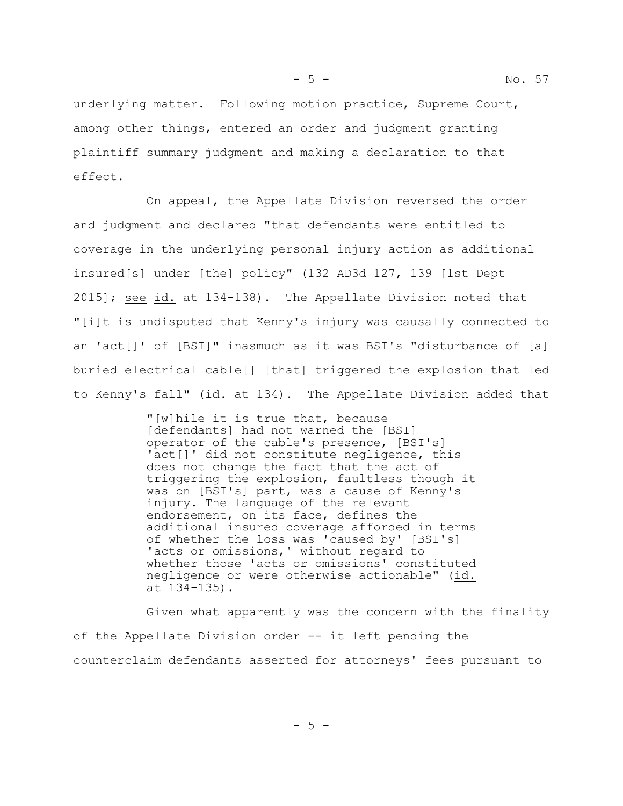underlying matter. Following motion practice, Supreme Court, among other things, entered an order and judgment granting plaintiff summary judgment and making a declaration to that effect.

On appeal, the Appellate Division reversed the order and judgment and declared "that defendants were entitled to coverage in the underlying personal injury action as additional insured[s] under [the] policy" (132 AD3d 127, 139 [1st Dept 2015]; see id. at 134-138). The Appellate Division noted that "[i]t is undisputed that Kenny's injury was causally connected to an 'act[]' of [BSI]" inasmuch as it was BSI's "disturbance of [a] buried electrical cable[] [that] triggered the explosion that led to Kenny's fall" (id. at 134). The Appellate Division added that

> "[w]hile it is true that, because [defendants] had not warned the [BSI] operator of the cable's presence, [BSI's] 'act[]' did not constitute negligence, this does not change the fact that the act of triggering the explosion, faultless though it was on [BSI's] part, was a cause of Kenny's injury. The language of the relevant endorsement, on its face, defines the additional insured coverage afforded in terms of whether the loss was 'caused by' [BSI's] 'acts or omissions,' without regard to whether those 'acts or omissions' constituted negligence or were otherwise actionable" (id. at 134-135).

Given what apparently was the concern with the finality of the Appellate Division order -- it left pending the counterclaim defendants asserted for attorneys' fees pursuant to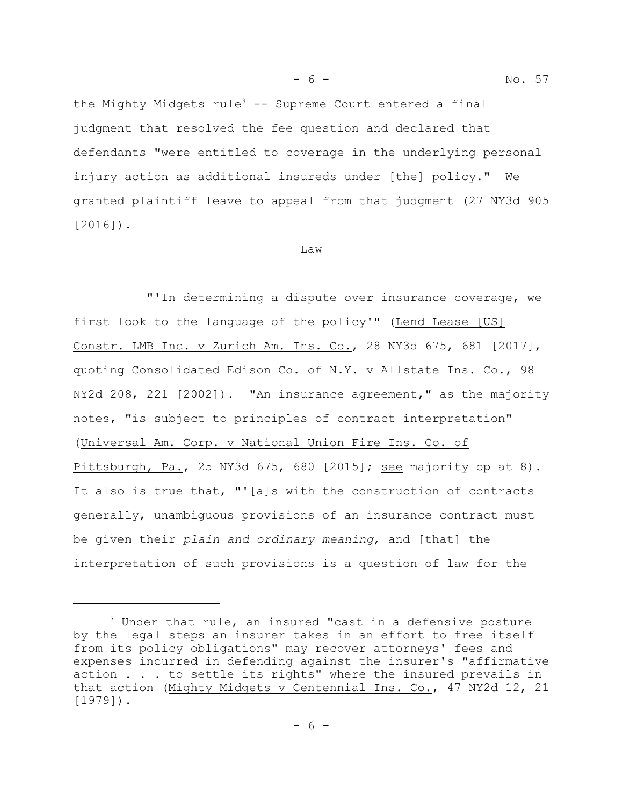the Mighty Midgets rule<sup>3</sup> -- Supreme Court entered a final judgment that resolved the fee question and declared that defendants "were entitled to coverage in the underlying personal injury action as additional insureds under [the] policy." We granted plaintiff leave to appeal from that judgment (27 NY3d 905 [2016]).

#### Law

"'In determining a dispute over insurance coverage, we first look to the language of the policy'" (Lend Lease [US] Constr. LMB Inc. v Zurich Am. Ins. Co., 28 NY3d 675, 681 [2017], quoting Consolidated Edison Co. of N.Y. v Allstate Ins. Co., 98 NY2d 208, 221 [2002]). "An insurance agreement," as the majority notes, "is subject to principles of contract interpretation" (Universal Am. Corp. v National Union Fire Ins. Co. of Pittsburgh, Pa., 25 NY3d 675, 680 [2015]; see majority op at 8). It also is true that, "'[a]s with the construction of contracts generally, unambiguous provisions of an insurance contract must be given their *plain and ordinary meaning*, and [that] the interpretation of such provisions is a question of law for the

 $3$  Under that rule, an insured "cast in a defensive posture by the legal steps an insurer takes in an effort to free itself from its policy obligations" may recover attorneys' fees and expenses incurred in defending against the insurer's "affirmative action . . . to settle its rights" where the insured prevails in that action (Mighty Midgets v Centennial Ins. Co., 47 NY2d 12, 21 [1979]).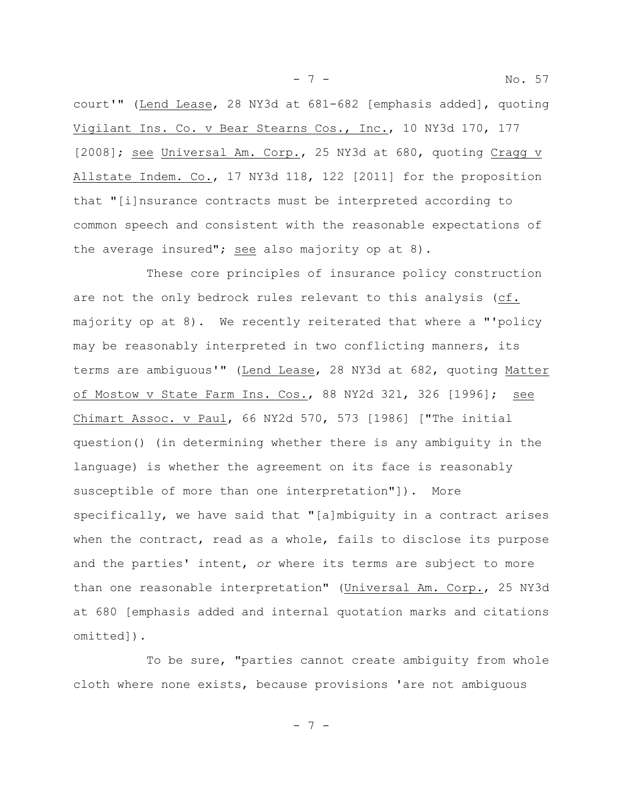court'" (Lend Lease, 28 NY3d at 681-682 [emphasis added], quoting Vigilant Ins. Co. v Bear Stearns Cos., Inc., 10 NY3d 170, 177 [2008]; see Universal Am. Corp., 25 NY3d at 680, quoting Cragg v Allstate Indem. Co., 17 NY3d 118, 122 [2011] for the proposition that "[i]nsurance contracts must be interpreted according to common speech and consistent with the reasonable expectations of the average insured"; see also majority op at 8).

- 7 - No. 57

These core principles of insurance policy construction are not the only bedrock rules relevant to this analysis (cf. majority op at 8). We recently reiterated that where a "'policy may be reasonably interpreted in two conflicting manners, its terms are ambiguous'" (Lend Lease, 28 NY3d at 682, quoting Matter of Mostow v State Farm Ins. Cos., 88 NY2d 321, 326 [1996]; see Chimart Assoc. v Paul, 66 NY2d 570, 573 [1986] ["The initial question() (in determining whether there is any ambiguity in the language) is whether the agreement on its face is reasonably susceptible of more than one interpretation"]). More specifically, we have said that "[a]mbiguity in a contract arises when the contract, read as a whole, fails to disclose its purpose and the parties' intent, *or* where its terms are subject to more than one reasonable interpretation" (Universal Am. Corp., 25 NY3d at 680 [emphasis added and internal quotation marks and citations omitted]).

To be sure, "parties cannot create ambiguity from whole cloth where none exists, because provisions 'are not ambiguous

- 7 -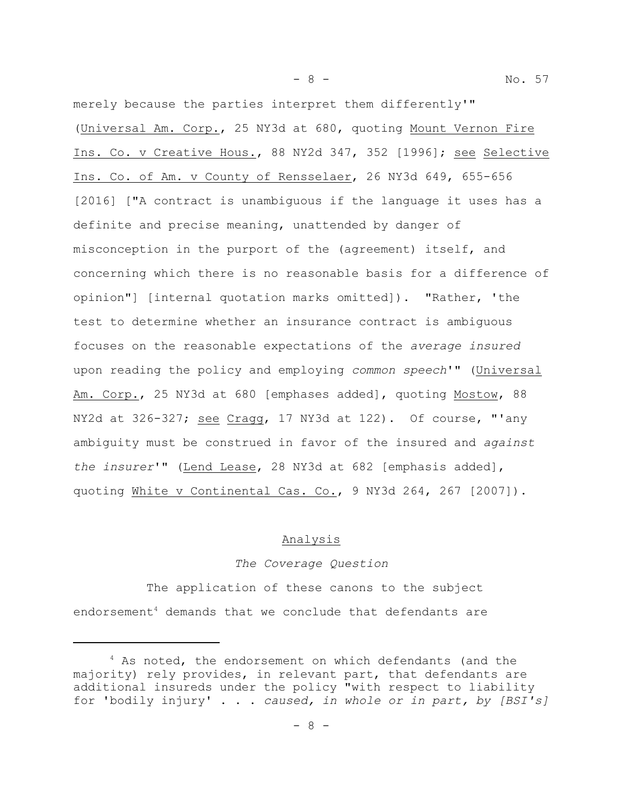- 8 - No. 57

merely because the parties interpret them differently'" (Universal Am. Corp., 25 NY3d at 680, quoting Mount Vernon Fire Ins. Co. v Creative Hous., 88 NY2d 347, 352 [1996]; see Selective Ins. Co. of Am. v County of Rensselaer, 26 NY3d 649, 655-656 [2016] ["A contract is unambiguous if the language it uses has a definite and precise meaning, unattended by danger of misconception in the purport of the (agreement) itself, and concerning which there is no reasonable basis for a difference of opinion"] [internal quotation marks omitted]). "Rather, 'the test to determine whether an insurance contract is ambiguous focuses on the reasonable expectations of the *average insured* upon reading the policy and employing *common speech*'" (Universal Am. Corp., 25 NY3d at 680 [emphases added], quoting Mostow, 88 NY2d at 326-327; see Cragg, 17 NY3d at 122). Of course, "'any ambiguity must be construed in favor of the insured and *against the insurer*'" (Lend Lease, 28 NY3d at 682 [emphasis added], quoting White v Continental Cas. Co., 9 NY3d 264, 267 [2007]).

#### Analysis

### *The Coverage Question*

The application of these canons to the subject endorsement<sup>4</sup> demands that we conclude that defendants are

<sup>&</sup>lt;sup>4</sup> As noted, the endorsement on which defendants (and the majority) rely provides, in relevant part, that defendants are additional insureds under the policy "with respect to liability for 'bodily injury' . . . *caused, in whole or in part, by [BSI's]*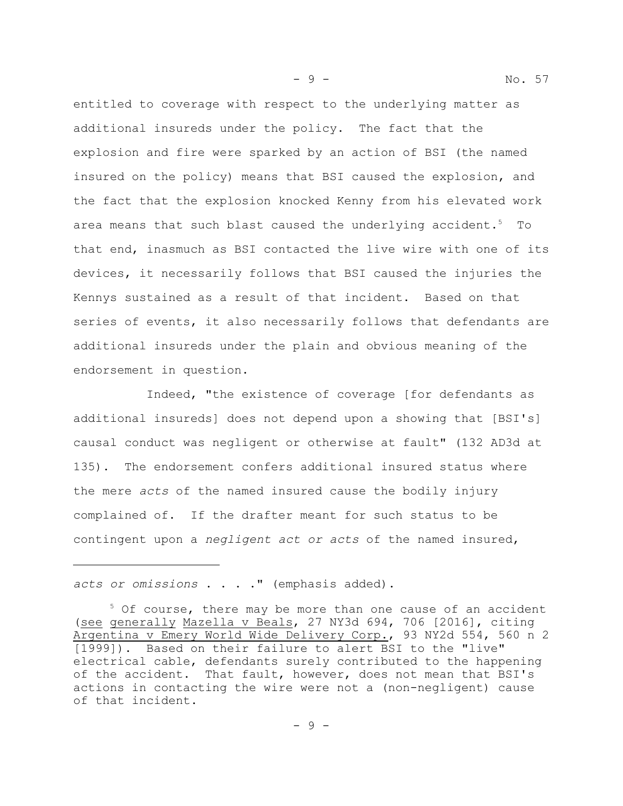entitled to coverage with respect to the underlying matter as additional insureds under the policy. The fact that the explosion and fire were sparked by an action of BSI (the named insured on the policy) means that BSI caused the explosion, and the fact that the explosion knocked Kenny from his elevated work area means that such blast caused the underlying accident.<sup>5</sup> To that end, inasmuch as BSI contacted the live wire with one of its devices, it necessarily follows that BSI caused the injuries the Kennys sustained as a result of that incident. Based on that series of events, it also necessarily follows that defendants are additional insureds under the plain and obvious meaning of the endorsement in question.

Indeed, "the existence of coverage [for defendants as additional insureds] does not depend upon a showing that [BSI's] causal conduct was negligent or otherwise at fault" (132 AD3d at 135). The endorsement confers additional insured status where the mere *acts* of the named insured cause the bodily injury complained of. If the drafter meant for such status to be contingent upon a *negligent act or acts* of the named insured,

*acts or omissions* . . . ." (emphasis added).

- 9 - No. 57

<sup>&</sup>lt;sup>5</sup> Of course, there may be more than one cause of an accident (see generally Mazella v Beals, 27 NY3d 694, 706 [2016], citing Argentina v Emery World Wide Delivery Corp., 93 NY2d 554, 560 n 2 [1999]). Based on their failure to alert BSI to the "live" electrical cable, defendants surely contributed to the happening of the accident. That fault, however, does not mean that BSI's actions in contacting the wire were not a (non-negligent) cause of that incident.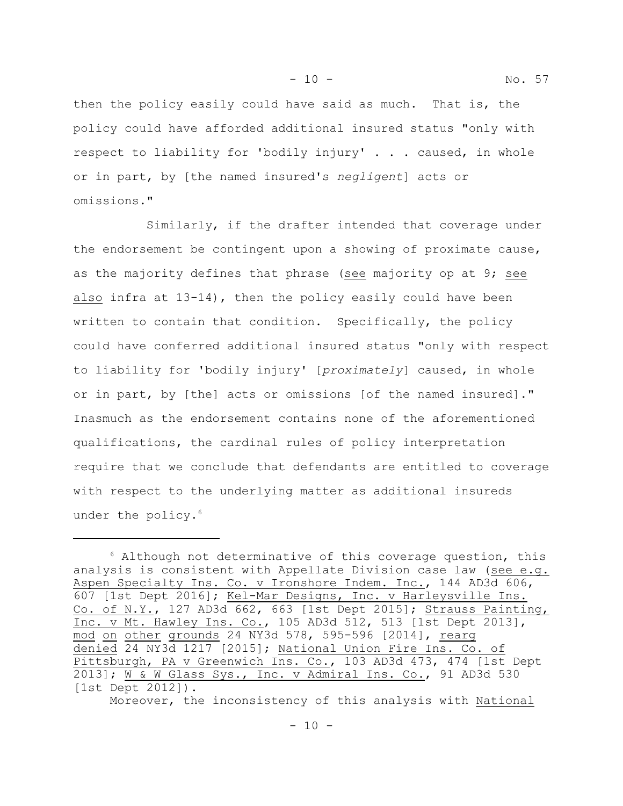- 10 - No. 57

then the policy easily could have said as much. That is, the policy could have afforded additional insured status "only with respect to liability for 'bodily injury' . . . caused, in whole or in part, by [the named insured's *negligent*] acts or omissions."

Similarly, if the drafter intended that coverage under the endorsement be contingent upon a showing of proximate cause, as the majority defines that phrase (see majority op at 9; see also infra at 13-14), then the policy easily could have been written to contain that condition. Specifically, the policy could have conferred additional insured status "only with respect to liability for 'bodily injury' [*proximately*] caused, in whole or in part, by [the] acts or omissions [of the named insured]." Inasmuch as the endorsement contains none of the aforementioned qualifications, the cardinal rules of policy interpretation require that we conclude that defendants are entitled to coverage with respect to the underlying matter as additional insureds under the policy.<sup>6</sup>

 $6$  Although not determinative of this coverage question, this analysis is consistent with Appellate Division case law (see e.g. Aspen Specialty Ins. Co. v Ironshore Indem. Inc., 144 AD3d 606, 607 [1st Dept 2016]; Kel-Mar Designs, Inc. v Harleysville Ins. Co. of N.Y., 127 AD3d 662, 663 [1st Dept 2015]; Strauss Painting, Inc. v Mt. Hawley Ins. Co., 105 AD3d 512, 513 [1st Dept 2013], mod on other grounds 24 NY3d 578, 595-596 [2014], rearg denied 24 NY3d 1217 [2015]; National Union Fire Ins. Co. of Pittsburgh, PA v Greenwich Ins. Co., 103 AD3d 473, 474 [1st Dept 2013]; W & W Glass Sys., Inc. v Admiral Ins. Co., 91 AD3d 530 [1st Dept 2012]).

Moreover, the inconsistency of this analysis with National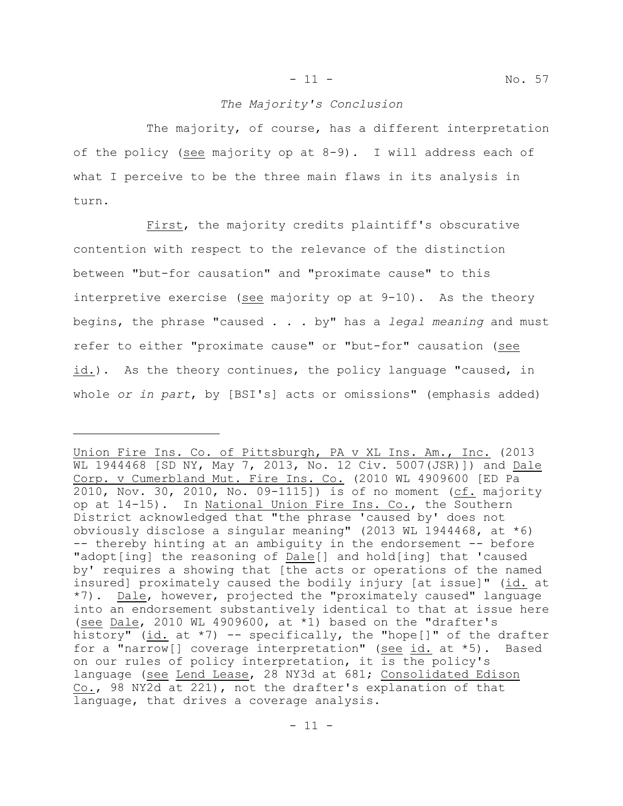#### - 11 - No. 57

### *The Majority's Conclusion*

The majority, of course, has a different interpretation of the policy (see majority op at  $8-9$ ). I will address each of what I perceive to be the three main flaws in its analysis in turn.

First, the majority credits plaintiff's obscurative contention with respect to the relevance of the distinction between "but-for causation" and "proximate cause" to this interpretive exercise (see majority op at 9-10). As the theory begins, the phrase "caused . . . by" has a *legal meaning* and must refer to either "proximate cause" or "but-for" causation (see id.). As the theory continues, the policy language "caused, in whole *or in part*, by [BSI's] acts or omissions" (emphasis added)

Union Fire Ins. Co. of Pittsburgh, PA v XL Ins. Am., Inc. (2013 WL 1944468 [SD NY, May 7, 2013, No. 12 Civ. 5007(JSR)]) and Dale Corp. v Cumerbland Mut. Fire Ins. Co. (2010 WL 4909600 [ED Pa 2010, Nov. 30, 2010, No. 09-1115]) is of no moment (cf. majority op at 14-15). In National Union Fire Ins. Co., the Southern District acknowledged that "the phrase 'caused by' does not obviously disclose a singular meaning" (2013 WL 1944468, at \*6) -- thereby hinting at an ambiguity in the endorsement -- before "adopt[ing] the reasoning of Dale[] and hold[ing] that 'caused by' requires a showing that [the acts or operations of the named insured] proximately caused the bodily injury [at issue]" (id. at \*7). Dale, however, projected the "proximately caused" language into an endorsement substantively identical to that at issue here (see Dale, 2010 WL 4909600, at \*1) based on the "drafter's history" (id. at  $*7$ ) -- specifically, the "hope[]" of the drafter for a "narrow[] coverage interpretation" (see id. at \*5). Based on our rules of policy interpretation, it is the policy's language (see Lend Lease, 28 NY3d at 681; Consolidated Edison Co., 98 NY2d at 221), not the drafter's explanation of that language, that drives a coverage analysis.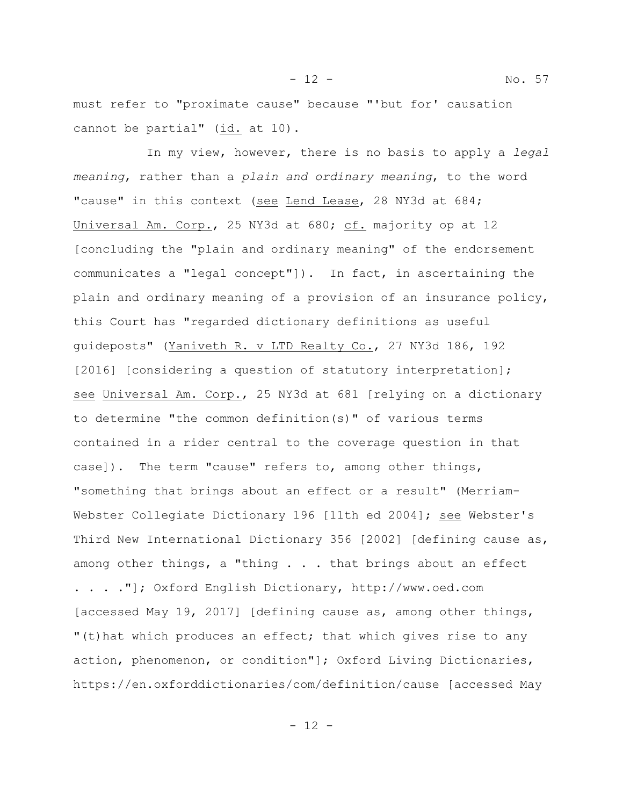must refer to "proximate cause" because "'but for' causation cannot be partial"  $(id. at 10)$ .

In my view, however, there is no basis to apply a *legal meaning*, rather than a *plain and ordinary meaning*, to the word "cause" in this context (see Lend Lease, 28 NY3d at 684; Universal Am. Corp., 25 NY3d at 680; cf. majority op at 12 [concluding the "plain and ordinary meaning" of the endorsement communicates a "legal concept"]). In fact, in ascertaining the plain and ordinary meaning of a provision of an insurance policy, this Court has "regarded dictionary definitions as useful guideposts" (Yaniveth R. v LTD Realty Co., 27 NY3d 186, 192 [2016] [considering a question of statutory interpretation]; see Universal Am. Corp., 25 NY3d at 681 [relying on a dictionary to determine "the common definition(s)" of various terms contained in a rider central to the coverage question in that case]). The term "cause" refers to, among other things, "something that brings about an effect or a result" (Merriam-Webster Collegiate Dictionary 196 [11th ed 2004]; see Webster's Third New International Dictionary 356 [2002] [defining cause as, among other things, a "thing  $\ldots$  . that brings about an effect . . . ."]; Oxford English Dictionary, http://www.oed.com [accessed May 19, 2017] [defining cause as, among other things, "(t) hat which produces an effect; that which gives rise to any action, phenomenon, or condition"]; Oxford Living Dictionaries, https://en.oxforddictionaries/com/definition/cause [accessed May

 $- 12 -$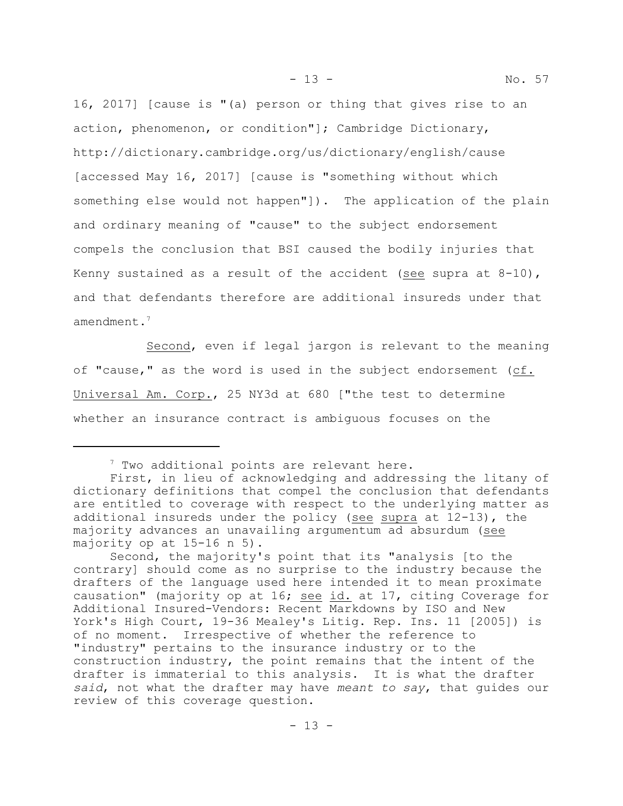16, 2017] [cause is "(a) person or thing that gives rise to an action, phenomenon, or condition"]; Cambridge Dictionary, http://dictionary.cambridge.org/us/dictionary/english/cause [accessed May 16, 2017] [cause is "something without which something else would not happen"]). The application of the plain and ordinary meaning of "cause" to the subject endorsement compels the conclusion that BSI caused the bodily injuries that Kenny sustained as a result of the accident (see supra at  $8-10$ ), and that defendants therefore are additional insureds under that amendment.<sup>7</sup>

Second, even if legal jargon is relevant to the meaning of "cause," as the word is used in the subject endorsement (cf. Universal Am. Corp., 25 NY3d at 680 ["the test to determine whether an insurance contract is ambiguous focuses on the

<sup>&</sup>lt;sup>7</sup> Two additional points are relevant here.

First, in lieu of acknowledging and addressing the litany of dictionary definitions that compel the conclusion that defendants are entitled to coverage with respect to the underlying matter as additional insureds under the policy (see supra at 12-13), the majority advances an unavailing argumentum ad absurdum (see majority op at 15-16 n 5).

Second, the majority's point that its "analysis [to the contrary] should come as no surprise to the industry because the drafters of the language used here intended it to mean proximate causation" (majority op at 16; see id. at 17, citing Coverage for Additional Insured-Vendors: Recent Markdowns by ISO and New York's High Court, 19-36 Mealey's Litig. Rep. Ins. 11 [2005]) is of no moment. Irrespective of whether the reference to "industry" pertains to the insurance industry or to the construction industry, the point remains that the intent of the drafter is immaterial to this analysis. It is what the drafter *said*, not what the drafter may have *meant to say*, that guides our review of this coverage question.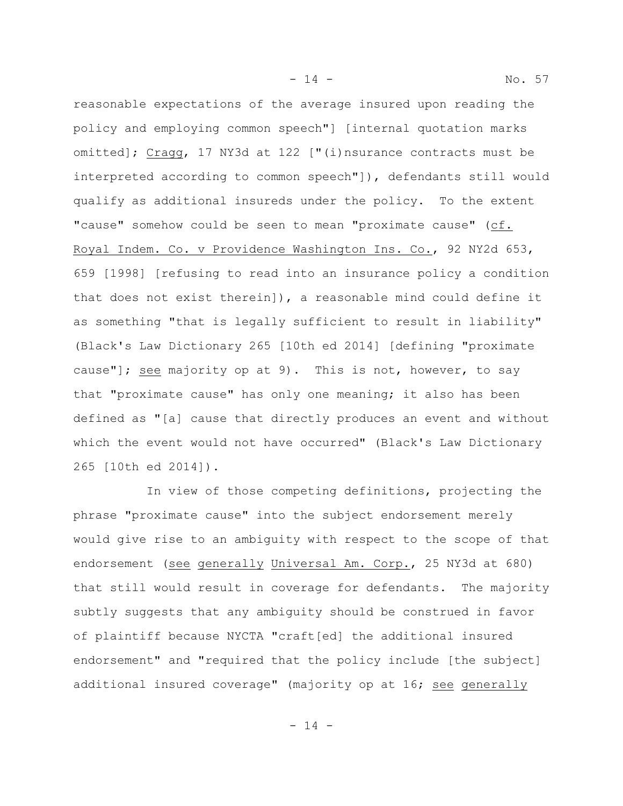reasonable expectations of the average insured upon reading the policy and employing common speech"] [internal quotation marks omitted]; Cragg, 17 NY3d at 122 ["(i)nsurance contracts must be interpreted according to common speech"]), defendants still would qualify as additional insureds under the policy. To the extent "cause" somehow could be seen to mean "proximate cause" (cf. Royal Indem. Co. v Providence Washington Ins. Co., 92 NY2d 653, 659 [1998] [refusing to read into an insurance policy a condition that does not exist therein]), a reasonable mind could define it as something "that is legally sufficient to result in liability" (Black's Law Dictionary 265 [10th ed 2014] [defining "proximate cause"]; see majority op at 9). This is not, however, to say that "proximate cause" has only one meaning; it also has been defined as "[a] cause that directly produces an event and without which the event would not have occurred" (Black's Law Dictionary

265 [10th ed 2014]).

In view of those competing definitions, projecting the phrase "proximate cause" into the subject endorsement merely would give rise to an ambiguity with respect to the scope of that endorsement (see generally Universal Am. Corp., 25 NY3d at 680) that still would result in coverage for defendants. The majority subtly suggests that any ambiguity should be construed in favor of plaintiff because NYCTA "craft[ed] the additional insured endorsement" and "required that the policy include [the subject] additional insured coverage" (majority op at 16; see generally

- 14 - No. 57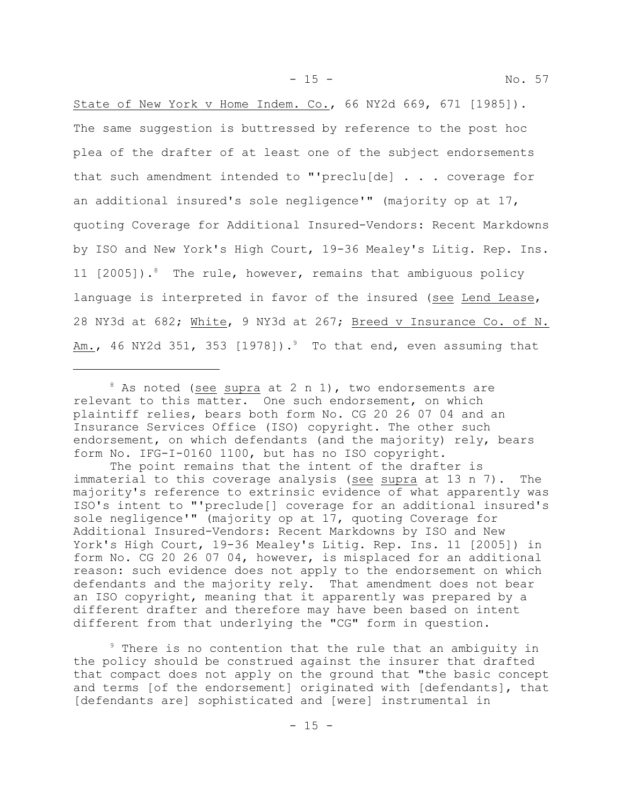State of New York v Home Indem. Co., 66 NY2d 669, 671 [1985]). The same suggestion is buttressed by reference to the post hoc plea of the drafter of at least one of the subject endorsements that such amendment intended to "'preclu[de] . . . coverage for an additional insured's sole negligence'" (majority op at 17, quoting Coverage for Additional Insured-Vendors: Recent Markdowns by ISO and New York's High Court, 19-36 Mealey's Litig. Rep. Ins. 11  $[2005]$ ).<sup>8</sup> The rule, however, remains that ambiguous policy language is interpreted in favor of the insured (see Lend Lease, 28 NY3d at 682; White, 9 NY3d at 267; Breed v Insurance Co. of N. Am., 46 NY2d 351, 353 [1978]).<sup>9</sup> To that end, even assuming that

The point remains that the intent of the drafter is immaterial to this coverage analysis (see supra at 13 n 7). The majority's reference to extrinsic evidence of what apparently was ISO's intent to "'preclude[] coverage for an additional insured's sole negligence'" (majority op at 17, quoting Coverage for Additional Insured-Vendors: Recent Markdowns by ISO and New York's High Court, 19-36 Mealey's Litig. Rep. Ins. 11 [2005]) in form No. CG 20 26 07 04, however, is misplaced for an additional reason: such evidence does not apply to the endorsement on which defendants and the majority rely. That amendment does not bear an ISO copyright, meaning that it apparently was prepared by a different drafter and therefore may have been based on intent different from that underlying the "CG" form in question.

<sup>9</sup> There is no contention that the rule that an ambiguity in the policy should be construed against the insurer that drafted that compact does not apply on the ground that "the basic concept and terms [of the endorsement] originated with [defendants], that [defendants are] sophisticated and [were] instrumental in

 $8$  As noted (see supra at 2 n 1), two endorsements are relevant to this matter. One such endorsement, on which plaintiff relies, bears both form No. CG 20 26 07 04 and an Insurance Services Office (ISO) copyright. The other such endorsement, on which defendants (and the majority) rely, bears form No. IFG-I-0160 1100, but has no ISO copyright.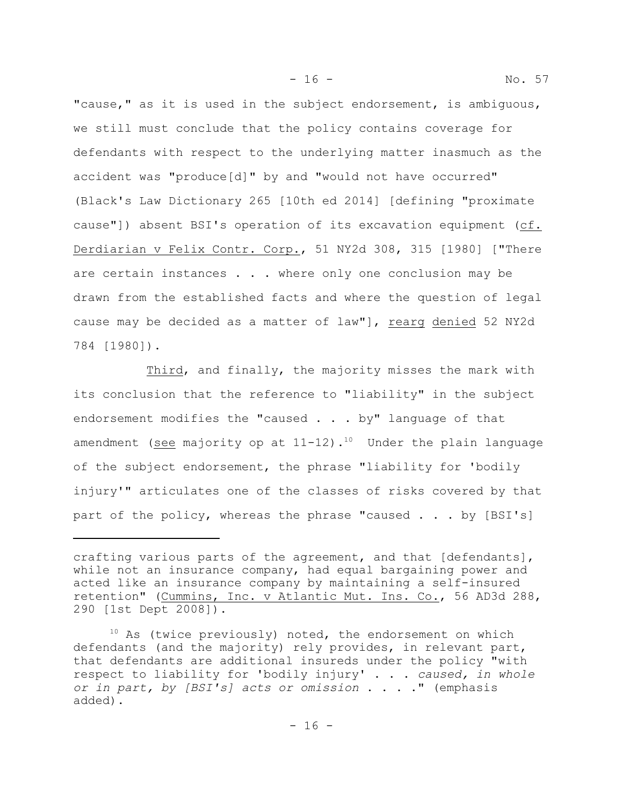"cause," as it is used in the subject endorsement, is ambiguous, we still must conclude that the policy contains coverage for defendants with respect to the underlying matter inasmuch as the accident was "produce[d]" by and "would not have occurred" (Black's Law Dictionary 265 [10th ed 2014] [defining "proximate cause"]) absent BSI's operation of its excavation equipment (cf. Derdiarian v Felix Contr. Corp., 51 NY2d 308, 315 [1980] ["There are certain instances . . . where only one conclusion may be drawn from the established facts and where the question of legal cause may be decided as a matter of law"], rearg denied 52 NY2d 784 [1980]).

Third, and finally, the majority misses the mark with its conclusion that the reference to "liability" in the subject endorsement modifies the "caused . . . by" language of that amendment (see majority op at  $11-12$ ).<sup>10</sup> Under the plain language of the subject endorsement, the phrase "liability for 'bodily injury'" articulates one of the classes of risks covered by that part of the policy, whereas the phrase "caused . . . by [BSI's]

crafting various parts of the agreement, and that [defendants], while not an insurance company, had equal bargaining power and acted like an insurance company by maintaining a self-insured retention" (Cummins, Inc. v Atlantic Mut. Ins. Co., 56 AD3d 288, 290 [1st Dept 2008]).

 $10$  As (twice previously) noted, the endorsement on which defendants (and the majority) rely provides, in relevant part, that defendants are additional insureds under the policy "with respect to liability for 'bodily injury' . . . *caused, in whole or in part, by [BSI's] acts or omission* . . . ." (emphasis added).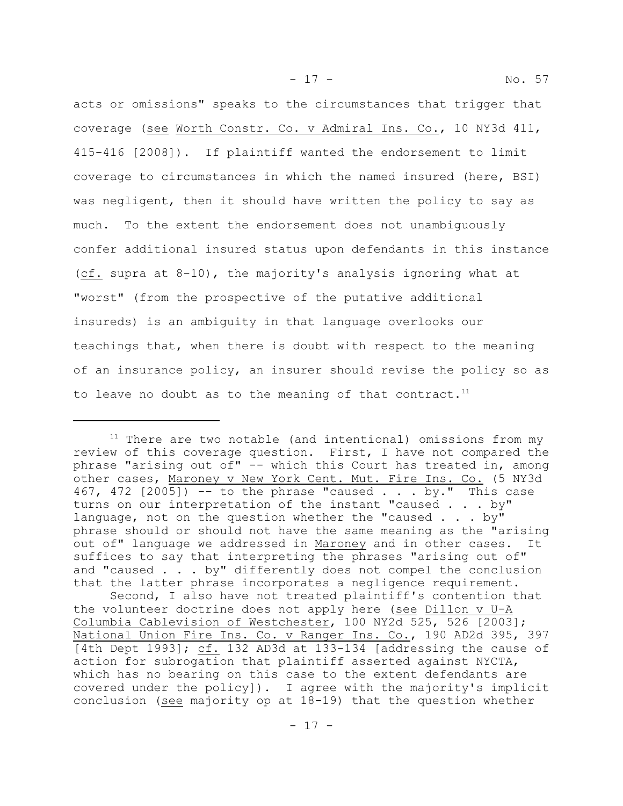- 17 - No. 57

acts or omissions" speaks to the circumstances that trigger that coverage (see Worth Constr. Co. v Admiral Ins. Co., 10 NY3d 411, 415-416 [2008]). If plaintiff wanted the endorsement to limit coverage to circumstances in which the named insured (here, BSI) was negligent, then it should have written the policy to say as much. To the extent the endorsement does not unambiguously confer additional insured status upon defendants in this instance (cf. supra at 8-10), the majority's analysis ignoring what at "worst" (from the prospective of the putative additional insureds) is an ambiguity in that language overlooks our teachings that, when there is doubt with respect to the meaning of an insurance policy, an insurer should revise the policy so as to leave no doubt as to the meaning of that contract.<sup>11</sup>

 $11$  There are two notable (and intentional) omissions from my review of this coverage question. First, I have not compared the phrase "arising out of" -- which this Court has treated in, among other cases, Maroney v New York Cent. Mut. Fire Ins. Co. (5 NY3d 467, 472  $[200\overline{5}]$  -- to the phrase "caused . . . by." This case turns on our interpretation of the instant "caused . . . by" language, not on the question whether the "caused . . . by" phrase should or should not have the same meaning as the "arising out of" language we addressed in Maroney and in other cases. It suffices to say that interpreting the phrases "arising out of" and "caused . . . by" differently does not compel the conclusion that the latter phrase incorporates a negligence requirement.

Second, I also have not treated plaintiff's contention that the volunteer doctrine does not apply here (see Dillon v U-A Columbia Cablevision of Westchester, 100 NY2d 525, 526 [2003]; National Union Fire Ins. Co. v Ranger Ins. Co., 190 AD2d 395, 397 [4th Dept 1993]; cf. 132 AD3d at 133-134 [addressing the cause of action for subrogation that plaintiff asserted against NYCTA, which has no bearing on this case to the extent defendants are covered under the policy]). I agree with the majority's implicit conclusion (see majority op at 18-19) that the question whether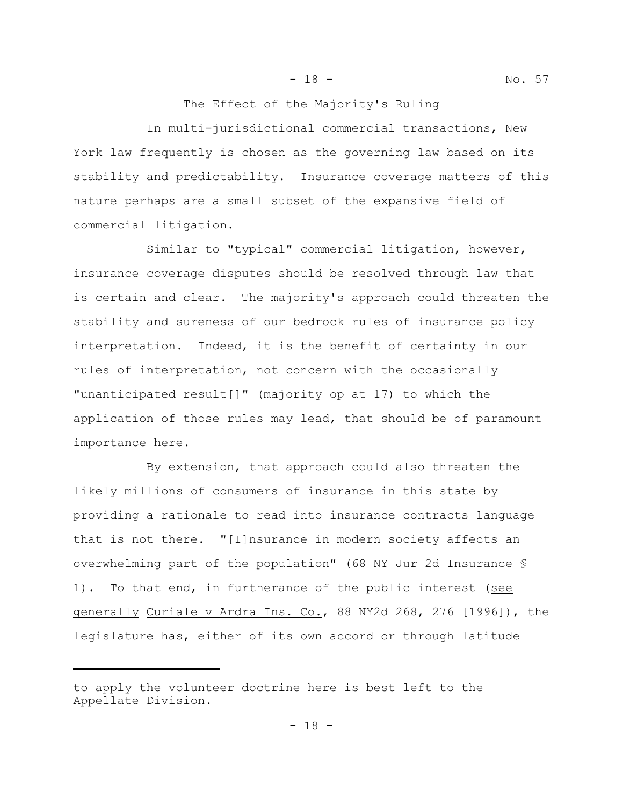- 18 - No. 57

# The Effect of the Majority's Ruling

In multi-jurisdictional commercial transactions, New York law frequently is chosen as the governing law based on its stability and predictability. Insurance coverage matters of this nature perhaps are a small subset of the expansive field of commercial litigation.

Similar to "typical" commercial litigation, however, insurance coverage disputes should be resolved through law that is certain and clear. The majority's approach could threaten the stability and sureness of our bedrock rules of insurance policy interpretation. Indeed, it is the benefit of certainty in our rules of interpretation, not concern with the occasionally "unanticipated result[]" (majority op at 17) to which the application of those rules may lead, that should be of paramount importance here.

By extension, that approach could also threaten the likely millions of consumers of insurance in this state by providing a rationale to read into insurance contracts language that is not there. "[I]nsurance in modern society affects an overwhelming part of the population" (68 NY Jur 2d Insurance § 1). To that end, in furtherance of the public interest (see generally Curiale v Ardra Ins. Co., 88 NY2d 268, 276 [1996]), the legislature has, either of its own accord or through latitude

to apply the volunteer doctrine here is best left to the Appellate Division.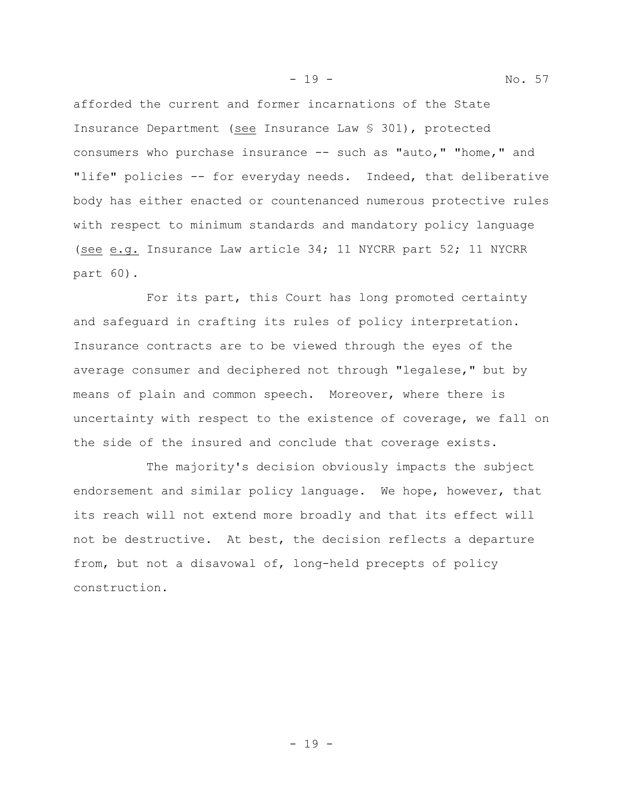afforded the current and former incarnations of the State Insurance Department (see Insurance Law § 301), protected consumers who purchase insurance -- such as "auto," "home," and "life" policies -- for everyday needs. Indeed, that deliberative body has either enacted or countenanced numerous protective rules with respect to minimum standards and mandatory policy language (see e.g. Insurance Law article 34; 11 NYCRR part 52; 11 NYCRR part 60).

For its part, this Court has long promoted certainty and safeguard in crafting its rules of policy interpretation. Insurance contracts are to be viewed through the eyes of the average consumer and deciphered not through "legalese," but by means of plain and common speech. Moreover, where there is uncertainty with respect to the existence of coverage, we fall on the side of the insured and conclude that coverage exists.

The majority's decision obviously impacts the subject endorsement and similar policy language. We hope, however, that its reach will not extend more broadly and that its effect will not be destructive. At best, the decision reflects a departure from, but not a disavowal of, long-held precepts of policy construction.

- 19 -